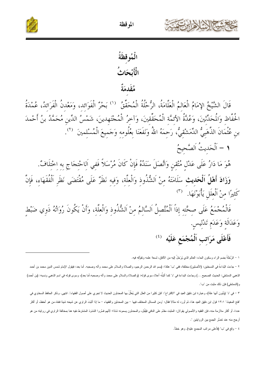



الْمُوقظَةُ الْأَبْحَاثُ هُقَدِمَةٌ

قَالَ الشَّيْخُ الإِمَامُ الْعَالِمُ الْعَلَّامَةُ، الرُّحْلُةُ الْمُحَقِّقُ <sup>(')</sup> بَحْرٌ الْفَوَائِد، وَمَعْدنُ الْفَرَائِدُ، عُمْدَةُ<br>الحُفَّاظ وَالُحَدِّثْينَ، وَعُدَّةُ الأئمَّة الْمُحَقِّقينَ، وَآخرُ الْمُحْتَهِدينَ،

- 1 اَلْحَديثُ اَلصَّحيحُ
- هُوَ مَا دَارُ عَلَى عَدْلِ مُتْقِنِ وَاتَّصَلَ سَنَدُهُ فَإِنْ كَانَ مُرْسَلاً فَفي اَلاحْتجَاج به اخْتلَافٌ.

وَزَادَ أَهْلُ اَلْحَدِيثِ سَلَامَتَهُ مِنْ اَلشُّذُوذِ وَالْعِلَّةِ، وَفِيهِ نَظَرٌ عَلَى مُقْتَضَى نَظَرِ اَلْفُقَهَاءِ، فَإِنَّ كَثيرًا منْ اَلْعلَلِ يَأْبَوْنَهَا. (٣)

فَالْمُحْمَعُ عَلَى صِحَّتِهِ إِذَاً اَلْمُتَّصِلُ اَلسَّالِمُ مِنْ اَلشُّذُوذِ وَالْعِلَّةِ، وَأَنْ يَكُونَ رُوَاتُهُ ذَوِي ضَبْط وَعَدَالَةِ وَعَدَمِ تَدْليسِ.

## فَأَعْلَى مَرَاتب اَلْمُجْمَع عَلَيْه (3)

١ – الرُحْلَةُ بضم الراء وسكون الحاء: العالم الذي يُرْحَلُ إليه من الآفاق، لسعة علمه وتفوُقه فيه.

٢ – جاءت البُداءةُ في النسختين: (الأصلين) مختلفة، ففي "ب" هكذا: (بسم الله الرحصن الرحيم، والسلام على محمد وآله وصحبه. أما بعد: فيقول الإمام شمس الدين محمد بن أحمد الذهبي الدمشقي: الحديث الصحيح …) وجاءت البداءة في "د" كما أثبتُه أعلاه سوى قوله: (والصلاة والسلام على محمد وآله وصحبه أما بعد)، وسوى قوله في اسم الذهبي ونسبه: (بن أحمد) و(الدمشقي) فإن ذلك مثبت من "ب".

٣ – في "د" (يأبون أنها علة)، وعبارة ابن دقيق العيد في "الاقتراح": "فإن كثيرا من العلل التي يُعلِّلُ بها المحدثون الحديث لا تجري على أصول الفقهاء". انتهى. وذكر الحافظ السخاوي في "فتح المغيث" ١٣:١ قول ابن دقيق العيد هذا، ثم أورد له مثالا فقال: "ومن المسائل المختلف ال المحدثين والفقهاء – ما إذا أثبَتَ الراوي عن شيخه شيئا فنفاه من هو أحفظ، أو أكثر .<br>عددا، أو أكثر ملازمة منه، فإن الفقيه والأصولي يقولان: المثبت مقدَّم على النافي فيُقلِّل، والمحدثون يسمونه شاذا؛ لأنهم فسَّروا الشذوذ المشترط نفيه هنا بمخالفة الراوي في روايته من هو أرجح منه عند نعسُر الجمع بين الروايتين ".

٤ – وقع في "ب" (فأعلى مرانب المجمع عليه), وهو خطأ.

الموقظة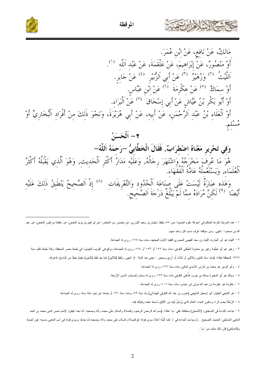

المو قظة



وَهَذِهِ عَبَارَةٌ لَيْسَتْ عَلَى صَنَاعَةِ اَلْحُدُودِ وَالتَّعْرِيفَاتِ <sup>(٨)</sup> إِذْ اَلصَّحِيحُ يَنْطَبِقُ ذَلِكَ عَلَيْهِ<br>أَيْضًا <sup>(٩)</sup> لَكِنَّ مُرَادَهُ مِمَّا لَمْ يَبْلُغْ دَرَجَةَ اَلصَّحِيحِ.

١ – هذه المرتبة ذكرها الحاكم في "معرفة علوم الحديث" ص ٥٥، بلفظ "سفيان بن سعيد الثوري، عن سلعتمر، عن ليراهيم بن يزيد النخعي، عن علقمة بن قيس النخعي، عن المن الله بن مسعود". انتهى. ومن سياقته عُرفَ نسب كل واحد منهم.

٢ – الليث هو أبو الحارث الليث بن سعد الفهمي المصري الفقيه الإمام المجتهد، مات سنة ١٧٥، روى له الجماعة.

٣ – زهير هو أبو خَيِّئْمة زهير بن معاوية الجُعْفي الكوفي، مات سنة ١٧٢ أو ١٧٣ أو ١٧٤، روى له الجماعة، ووقع في "تقريب التهذيب" في طبعة مصر المحققة، وكذا طبعة لكنو سنة

١٣٥٦ المحققة هكذا: (مات سنة اثنتين وثلاثين أو ثلاث أو أربع وسبعين – يعني بعد المئة –). انتهى. ولفظ (ثلاثين) هنا بعد لفظ (اثنتين) مقحَمٌ خطأ من الناسخ، فاعرفه.

٤ – وأبو الزبير هو محمد بن تَدْرُس الأسدي المكي، مات سنة ١٢٦، روى له الجماعة.

٥ – سماك هو أبو المغيرة سماك بن حرب الذُّهلي الكوفي مات سنة ١٢٣، روى له مسلم وأصحاب السنن الأربعة.

٦ – عكرمة هو عكرمة بن عبد الله مولى ابن عباس، مات سنة ١٠٧، روى له الجماعة.

٧ – هو التابعي الجليل: أبو إسحاق السَّبيعي (عمرو بن عبد الله الكوفي الهَمْداني) ولد سنة ٢٩، ومات سنة ١٢٦ أو بعدها عن نحو مائة سنة، روى له الجماعة.

٨ – الرُّحْلَةُ بضم الراء وسكون الحاء: العالم الذي يُرْحَلُ إليه من الآفاق، لسعة علمه وتفوُّقه فيه.

٩ – جاءت البُداءةُ في النسختين: (الأصلين) مختلفة، ففي "ب" هكذا: (بسم الله الرحصن الرحيم، والسلام على محمد وأله وصحبه. أما بعد: فيقول الإمام شمس الدين محمد بن أحمد الذهبي الدمشقي: الحديث الصحيح ...) وجاءت البداءة في "د" كما أثبتُه أعلاه سوى قوله: (والصلاة والسلام على محمد وآله وصحبه.أما بعد)، وسوى قوله في اسم الذهبي ونسبه: (بن أحمد) و(الدمشقى) فإن ذلك مثبت من "ب".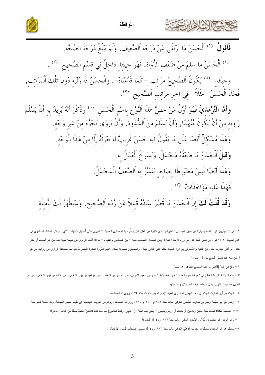



فَأَقُولُ  $^{\left(1\right)}$  اَلْحَسَنُ مَا اِرْتَقَى عَنْ دَرَجَةِ اَلضَّعِيف, وَلَمْ يَبْلُغْ دَرَجَةَ اَلصِّحَّة.

<sup>(٢)</sup> اَلْحَسَنُ مَا سَلِمَ مِنْ ضَعْفِ اَلرُّوَاةِ, فَهُوَ حِينَئِذِ دَاخِلٌ فِي قِسْمِ اَلصَّحِيحِ (٣) .

وَحينَئذ ۚ <sup>(٤)</sup> يَكُونُ اَلصَّحِيحُ مَرَاتِبَ –كَمَا قَلَّمْنَاهُ–, وَالْحَسَنُ ذَا رُتْبَةٍ دُونَ تِلْكَ اَلْمَرَاتِبِ, فَجَاءَ الْحَسَنُ -مَثَلاً- في آخرِ مَرَاتِبِ اَلصَّحِيحِ <sup>(٥</sup>).

وَأَمَّا اَلتَّوْمِلِيُّ فَهُوَ أَوَّلُ مَنْ خَصَّ هَذَا اَلنَّوْعِ بِاسْمِ اَلْحَسَنِ  $^{(7)}$  وَذَكَرَ أَنَّهُ يُرِيدُ به أَنْ يَسْلَمَ رَاوِيهِ مِنْ أَنْ يَكُونَ مُتَّهَمَّا, وَأَنْ يَسْلَمَ مِنْ اَلشُّذُوذِ, وَأَنْ يُرْوَى نَحْوُهُ مِنْ غَيْرِ وَجْه. وَهَذَا مُشْكِلٌ أَيْضًا عَلَى مَا يَقُولُ فِيهِ حَسَنٌ غَرِيبٌ لَا نَعْرِفُهُ إِلَّا مِنْ هَذَا اَلْوَجْه. وَقِيلَ اَلْحَسَنُ مَا ضَعْفُهُ مُحْتَمَلٌ, وَيَسُوغُ اَلْعَمَلُ به. وَهَذَا أَيْضًا لَيْسَ مَضْبُوطًا بِضَابِطِ يَتَمَيَّزُ بِهِ اَلضَّعْفُ اَلْمُحْتَمَلُ. فَهَذَا عَلَيْه مُؤَاخَذَاتٌ (٧). وَقَدْ قُلْتُ لَكَ إِنَّ اَلْحَسَنَ مَا قَصُرَ سَنَدُهُ قَلِيلاً عَنْ رُتْبَةِ اَلصَّحِيحِ, وَسَيَظْهَرُ لَكَ بِأَمْثِلَةِ

١ – في "د" (يأبون أنها علة)، وعبارة ابن دقيق العيد في "الاقتراح": "فإن كثيرا من العلل التي يُعلِّلُ بها المحدثون الحديث لا تجري على أصول الفقهاء". انتهى. وذكر الحافظ السخاوي في "فتح المغيث" ١٣:١ قول ابن دقيق العيد هذا، ثم أورد له مثالا فقال: "ومن المسائل المختلف العلسائيل والفقهاء – ما إذا أثبَتَ الراوي عن شيخه شيئا فنفاه من هو أحفظ، أو أكثر عددا، أو أكثر ملازمة منه، فإن الفقيه والأصولي يقولان: المثبت مقدَّم على النافي فيُقُبل، والمحدثون يسمونه شاذا؛ لأنهم فسَّروا الشذوذ المشترط نفيه هنا بمخالفة الراوي في روايته من أرجح منه عند تعسُّر الجمع بين الروايتين ".

٢ – وقع في "ب" (فأعلى مراتب المجمع عليه), وهو خطأ.

٣ – هذه المرتبة ذكرها الحاكم في "معرفة علوم الحديث" ص ٥٥، بلفظ "سفيان بن سعيد الثروي، عن ملاحقهن عن ليراهيم بن يزيد النخعي، عن علقمة بن قيس النخعي، عن علقمة بن قيس النخعي، عن علقمة بن قيس النخعي، عن الله بن مسعود". انتهى. ومن سياقته عُرِفَ نسب كل واحد منهم.

٤ – الليث هو أبو الحارث الليث بن سعد الفهمي المصري الفقيه الإمام المجتهد، مات سنة ١٧٥، روى له الجماعة.

٥ – زهير هو أبو خَيْتُمة زهير بن معاوية الجُعْفي الكوفي، مات سنة ١٧٢ أو ١٧٣ أو ١٧٤، روى له الجماعة، ووقع في "تقريب التهذيب" في طبعة مصر المحققة، وكذا طبعة لكنو سنة

١٣٥٦ المحققة هكذا: (مات سنة اثنتين وثلاثين أو ثلاث أو أربع وسبعين – يعني بعد المئة –). انتهى. ولفظ (ثلاثين) هنا بعد لفظ (اثنتين) مقحَمٌ خطأ من الناسخ، فاعرفه.

٦ – وأبو الزبير هو محمد بن تَدُرُس الأسدي المكي، مات سنة ١٢٦، روى له الجماعة.

٧ – سماك هو أبو المغيرة سماك بن حرب الذُّهلي الكوفي مات سنة ١٢٣، روى له مسلم وأصحاب السنن الأربعة.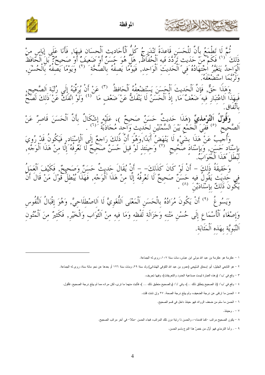



ثُمَّ لَا تَطْمَعُ بِأَنَّ لِلْحَسَنِ قَاعِدَةً تَنْدَرِجُ كُلُّ الْأَحَادِيثِ الْحِسَانِ فِيهَا, فَأَنَا عَلَى إِيَاسٍ منْ<br>كَ <sup>(١)</sup> فَكَمْ مِنَّ حَدَيثِ تَرَدَّدَ فَيهِ الْحُفَّاظُ, هَلْ هُوَ حَسَنٌ أَوْ ضَعِيفٌ أَوْ صَح ذَلكَ (') فَكَمْ ِ<br>وَهَذَا حَقٌّ, فَإِنَّ الْحَديثَ اَلْحَسَنَ يَسْتَضْعفُهُ اَلْحَافظُ <sup>(٣)</sup> عَنْ أَنْ يُرَقِّيَهُ إِلَى رُتْبَة اَلصَّحِيح,<br>نَذَا اَلِاعْتِبَارِ فِيهِ ضَعْفٌ َمَا, إِذْ اَلْحَسَنُ لَا يَنْفَكُّ عَنْ َضَعْفٍ مَا <sup>(٤)</sup> وَل وَ**قُوْلُ اَلتّوْمليّ** (هَذَا حَديثٌ حَسَنٌ صَحيحٌ )، عَلَيْه إشْكَالٌ بِأَنَّ الْحَسَنَ قَاصِرٌ عَنْ<br>حيح <sup>(٥)</sup> فَفِيَ الْحَمْعِ بَيْنَ السَّمْتَيْنِ لِحَدِيثِ وَاحِدٍ مُحَاذَبَةٌ َ (٦) . وَأَحِيبُ عَنْ هَذَا بِشَيْءٍ لَا يَنْهَضُّ أَبَدًا,وَهُوَ أَنَّ ذَٰلكَ رَاحِعٌ إِلَى اَلْإِسْنَاد , فَيَكُونُ قَدْ رُوِيَ<br>بإِسْنَاد حَسَنَ, وَبإِسْنَادَ صَحَيحٍ ۚ ('' وَحِينَئِذٍ لَوْ قِيلَ حَسَنٌ صَحِيحٌ لَا نَعْرِفُهُ لَبَطَلَ هَذَا اَلْجَوَابَّ. وَحَقِيقَةُ ذَلِكَ – أَنْ لَوْ كَانَ كَذَلِكَ– – أَنْ يُقَالَ حَديثٌ حَسَنٌ وَصَحِيحٌ, فَكَيْفَ الْعَمَلُ<br>في حَديَث يَقُولُ فيه حَسَنٌّ صَحِيحٌ لَا نَعْرِفُهُ إِلَّا مِنْ هَذَا اَلْوَجْهِ, فَهَذَا يُبْطِلُ قَوْلَ مَنْ قَا وَيَسُوغُ <sup>(٩)</sup> أَنْ يَكُونَ مُرَادُهُ بِالْحَسَنِ اَلْمَعْنَى اَللُّغَويَّ لَا اَللصْطلَلحيَّ, وَهُوَ إقْبَالُ اَلنُّفُوس

وَإِصْغَاءُ ٱلْأَسْمَاعِ إِلَى حُسْنِ مَتْنِهِ وَجَزَالَةِ لَفْظِهِ وَمَا فِيهِ مِنْ اَلتَّوَابِ وَالْخَيْرِ, فَكَثيرٌ مِنَ اَلْمُتُونِ اَلنَّبَوِيَّة بهَذه اَلْمَثَابَة.

١ – عكرمة هو عكرمة بن عبد الله مولى ابن عباس، مات سنة ١٠٧، روى له الجماعة.

٢ – هو التابعي الجليل: أبو إسحاق السَّبيعي (عمرو بن عبد الله الكوفي الهمُداني) ولد سنة ٢٩، ومات سنة ١٢٦ أو بعدها عن نحو مائة سنة، روى له الجماعة.

٣ - وقع في "ب": (وهذه العبارة ليست صناعية الحدود والتعريفات)، وفيها تحريف.

٤ – وقع في "ب": (إذ الصحيح ينطلق ذلك ...)، وفي "د": (والصحيح منطبق ذلك ... )، فأثبت منهما ما نرى، لكن مراده مما لم يبلغ درجة الصحيح. فأقول.

٥ – الحسن ما ارتقى عن درجة الضعيف، ولم يبلغ درجة الصحة. ٢٧ وإن شئت قلت.

٦ – الحسن ما سلم من ضعف الرواة، فهو حينئذ داخل في قسم الصحيح.

۰ – ۰ وحینئذ.

٨ - يكون الصحيح مراتب -كما قدمناه-، والحسن ذا رتبة دون تلك المراتب، فجاء الحسن -مثلا- في أخر مراتب الصحيح.

٩ - . و أما الترمذي فهو أوَّل من خصَّ هذا النوع باسم الحسن.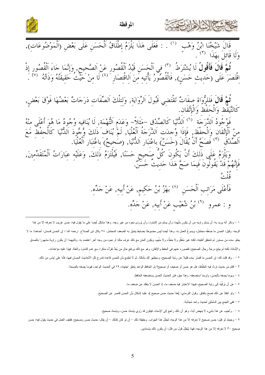



ر<br>وَلَّهُمَّ قَالَ فَأَقُولُ لَا يُشْتَرَطُ ۞ فِي اَلْحَسَنِ قَيْدُ اَلْقُصُورِ عَنْ اَلصَّحِيحِ, وَإِنَّمَا جَاءَ اَلْقُصُورِ إِذْ<br>اِقْتَصَرَ عَلَى (حَدِيثِ حَسَنٍ), فَالْقُصُورُ يَأْتِيهِ مِنَ اَلِاقْتِصَارِ َ <sup>(٤)</sup> لَا

ثُمَّ قَالَ فَللرُّوَاة صفَاتٌ تَقْتَضِي قَبُولَ اَلرِّوَايَةِ, وَلِتِلْكَ اَلصِّفَاتِ دَرَجَاتٌ بَعْضُهَا فَوْقَ بَعْضٍ,<br>كَالتَّيَقْظ وَالْحَفْظ وَالْإِتْقَان.

فَوَجُودُ اَلذَّرَجَة<sup>ِ ۚ (َ</sup>"َ اَلذُّنْيَا كَالصِّدْقِ –مَثَلاً– وَعَدَمِ اَلتُّهْمَة, لَا يُنَافِيه وُجُودُ مَا هُوَ أَعْلَى منْهُ<br>منْ اَلْإِنْقَانِ وَالْحفْظَ, فَإِذَا وُحِدَتِ اَلذَّرَجَةُ الْعُلْيَا, لَمْ يُنَافِ ذَل

فَأَعْلَى مَرَاتِبِ اَلْحَسَنِ ۖ `` بَهْزُ بْنُ حَكِيمٍ, عَنْ أَبِيهِ, عَنْ جَدِّه. و : عمرو (٩) وْ، شُعَيْبِ عَنْ أَبِيهِ, عَنْ جَدِّهِ.

ا – وذكر أنه بريد به: أن يَسلم راويه من أن يكون مُتَّهِما، وأن يَسلم من الشذوذ، وأن يُروَى نحوه من غير وجه. وهذا مشكل أيضا على ما يقول فيه: حسن غريب لا نعرفه إلا من هذا الوجه. وقيل: الحسن ما ضَعَفُه محتَمَل، ويَسوغُ العمل به. وهذا أيضا ليس مضبوطا بضابط يتميَّز به الضعف المحتفل. ٢٨ وقال ابن الصلاح –رحمه الله–: إن الحسن قسمان: أحدهما: ما لا يخلو سنده من مستور لم تتحقق أهليته، لكنه غير مُغَلًل ولا خطَّاء ولا متَّهم، ويكون المتن مع عزلك ما أخر اعتلال في اعتضد به. وثانيهما: أن يكون راوية مشهورا بالصدق والأمانة، لكنه لم يبلغ درجة رجال الصحيح، لقصوره عنهم في الحفظ والإتقان، وهو مع ذلك يرتفع حال من يُعَدُّ تفرُّدُه منكرا، مع عدم الشذوذ والعلة. فهذا عليه مؤاخذات.

٢ – . وقد قلت لك: إن الحسن ما قَصُرَ سنده قليلا عن رئبة الصحيح، وسيظهر لك بأمثلة. ثم لا تطمع ناحدة على التحاديث الحسان فيها، فأنا على اياس من ذلك.

٣ – فكم من حديث تردَّد فيه الحُفَّاظ، هل هو حسن أو ضعيف أو صحيح؟ بل الحافظ الواحد يتغيَّر اجتهاده ٢٩ في الحديث الواحد، فيوما يصفه بالصحة.

٤ – ويوما يصفه بالحسن، ولربما استضعفه. وهذا حق، فإن الحديث الحسن يستضعفه الحافظ.

٥ – عن أن يُركِّبَه إلى رتبة الصحيح، فبهذا الاعتبار فيه ضعف ما، إذ الحسن لا ينفك عن ضعف ما.

٦ – ولو انفكَّ عن ذلك لصح باتفاق. وقول النرمذي: (هذا حديث حسن صحيح )، عليه إشكال بأن الحسن قاصر عن الصحيح.

٧ – ففي الجمع بين السَّمْتَيْنِ لحديث و احد مُجاذَبَة.

٨ – . وأجيب عن هذا بشيء لا ينهض أبدا، وهو أن ذلك راجع إلى الإسناد، فيكون قد رُوي بإسناد حسن، وبإسناد صحيح.

٩ – وحينئذ لو قيل: حسن صحيح لا نعرفه إلا من هذا الوجه، لبَطَلَ هذا الجواب. وحقيقة ذلك – أن لكناك – أن يقال: حديث حسن وصحيح، فكيف العمل في حديث يقول فيه: حسن صحيح ٣٠ لا نعرفه إلا من هذا الوجه، فهذا يُبْطِلُ قول من قال: أن يكون ذلك بإسنادين.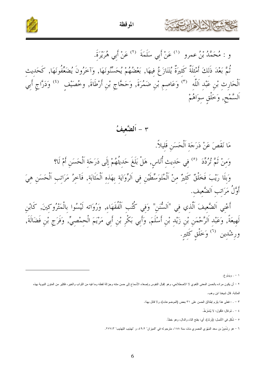

الموقظة



و : مُحَمَّدُ بْنُ عمرو  $^{\left(\prime\right)}$  عَنْ أَبِي سَلَمَةَ  $^{\left(\prime\right)}$  عَنْ أَبِي هُرَيْرَةَ. ثْمَّ بَعْدَ ذَلِكَ أَمْثِلَةٌ كَثِيرَةٌ يُتَنَازَعُ فِيهَا, بَعْضُهُمْ يُحَسِّنُونَهَا, وَآخَرُونَ يُضَعِّفُونَهَا, كَحَدِيثِ اَلْحَارِثِ بْنِ عَبْدِ اَللَّهِ ۚ (") وَعَاصِمِ بْنِ ضَمُرَةَ, وَحَجَّاجِ بْنِ أَرْطَاةَ, وخُصَيْف للمحاورث وَ اَلسَّمْحٍ, وَخَلْقِ سِوَاهُمْ

مَا نَقَصَ عَنْ دَرَجَةِ اَلْحَسَنِ قَلِيلاً.

وَمِنْ ثُمَّ تُردِّدَ <sup>(٥)</sup> فِي حَدِيثِ أُنَاسٍ, هَلْ بَلَغَ حَدِيثُهُمْ إِلَى دَرَجَةِ اَلْحَسَنِ أَمْ لَا؟ وَبِلَا رَيْبَ فَخَلْقٌ كَثِيرٌ مِنْ اَلْمُتَوَسِّطَيْنِ فِي اَلرِّوَايَةِ بِهَذِهِ اَلْمَثَابَةِ, فَآخِرُ مَرَاتِبِ اَلْحَسَنِ هِيَ أَوَّلُ مَرَاتب اَلضَّعيف.

أَعْنِي اَلضَّعِيفَ اَلَّذِي فِي "اَلسُّنَنِ" وَفِي كُتُب اَلْفُقَهَاءِ, وَرُوَاته لَيْسُوا بِالْمَتْرُوكِينَ, كَابْنِ<br>لَهِيعَةً, وَعَبْدِ اَلرَّحْمَنِ بْنِ زَيْدِ بْنِ أَسْلَمَ, وَأَبِي بَكْرِ بْنِ أَبِيَ مَرْيَمَ الْحِم ورِشْدِين <sup>(٦)</sup> وَخَلْقِ كَثيرِ.

۱ – . ويَسُوغ.

٢ – أن يكون مراده بالحسن المعنى اللغوي لا الاصطلاحي، وهو إقبال النفوس وإصغاء الأسماع إلى حسن منته وجزالة لفظه وما فيه من الثواب والخير، فكثير من المقون النبوية بهذه

المثابة. قال شيخنا ابن وهب.

- ٣ . : فعلي هذا يلزم إطلاق الحسن على ٣١ بعض (الموضوعات)، ولا قائل بهذا.
	- ٤ . ثم قال: فأقول: لا يُشتَرَطُ.
	- ٥ شُكل فـى الأصل: (نَرنَّد)، أي: بفتح الناء والدال، وهو خطأ.
- ٦ هو رشْدينُ بن سعد المَهْري المصري مات سنة ١٨٨، مترجم له في "الميزان" ٤٩:٢، و "تهذيب التهذيب" ٢٧٧:٣.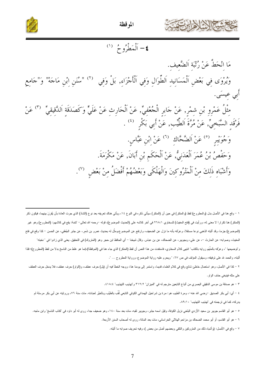



### ٤– أَلْمَطْرُوحٌ (١)

مَا انْحَطَّ عَنْ رُتْبَةِ اَلضَّعِيفِ. وَيُرْوَى فِي بَعْضِ اَلْمَسَانِيدِ اَلطُّوَالِ وَفِي اَلْأَجْزَاءِ, بَلْ وَفِي ۞ "سُنَنِ إبْنِ مَاجَهْ" وَ"جَامِعِ أُبي عيسَى. مِثْلُ عَمْرِوٍ بْنِ شِمْرٍ, عَنْ جَابِرٍ الْجُعْفِيِّ, عَنْ اَلْحَارِثِ عَنْ عَلَيٍّ وَكَصَدَقَةِ اَلدَّقِيقِيِّ ٣٠) عَنْ فَرْقَدِ السَّبَحِيِّ, عَنْ مُرَّةَ اَلطِّيِّبِ, عَنْ أَبِي بَكْرِ  $\left( \begin{array}{c} 1 \end{array} \right)$ وَجُوَيْبِرٍ <sup>(٥)</sup> عَنْ اَلضَّحَّاكِ <sup>(٦)</sup> عَنْ إِبْنِ عَبَّاسٍ. وَحَفْصُ بْنُ عُمَرَ اَلْعَدَنِيُّ, عَنْ اَلْحَكَم بْنِ أَبَانَ, عَنْ مَكْرَمَةَ. وَأَشْبَاهِ ذَلِكَ مِنْ اَلْمَتْرُوكِينَ وَالْهَلْكَى وَبَعْضُهُمْ أَفْضَلُ مِنْ بَعْضٍ ۞.

١ – وقع هنا في الأصل بدل (والمطروح) لفظ (والمنكر) في حين أن (المنكر) سيأتي ذكره في النوع ١٤، وبأتي هناك تعريفه بعد نوع (الشاذ) الذي جرت العادة بأن يُقرَنَ بينهما، فيكون ذكر (المنكر) هنا نكرارا لا معنى له، ورأيت في (فتح المغيث) للسخاوي ٢٦٨:١ في أخر كلامه على (الحديث الموضوع)، قوله –رحمه الله تعالى– "تتمة: يقع في كلامهم: (المطروح) وهو غير (الموضوع) جزما، وقد أثبته الذهبي نوعا مستقلا، وعرَّفه بأنه ما نزل عن الضعيف، وارتفع عن الموضوع، مثر بن شَمر عن جابر الجُعْني، عن الحسن – كذا وقع في فتح المغيث، وصوابه: عن الحارث –، عن علي، وبجويبر، عن الضحاك، عن بن عباس. وقال شيخنا – أي الحافظ ابن حجر وهو (المتروك) في التحقيق. يعني الذي زادوا في "نخبته" و"توضيحها "، وعرَّفه بالمتَّهَم روايه بالكذب" انتهى كلام السخاوي، فاستفدت من هذا النص أن نفظ (المنوع (الموقظة) اللها هو غلط من الناسخ بدلا من لفظ (المطروح)؛ فلذا أثبته، والحمد لله على توفيقه، وسيقول المؤلف في ص ٦٧: " ويحرم عليه رواية الموضوع، ورواية المطروح … ".

٢ – كذا في الأصل، وهو استعمال خاطئ شائع وقع في كلام العلماء قديما، واستمر إلى يومنا هذا، ووجه الغطأ فيه أن (بل) حرف عطف و(الواو) حرف عطف، فلا يدخل حرف العطف على مثله فينبغي حذف الواو.

٣ – هو صدقة بن موسى الدقيقي البصري من أتباع التابعين مترجم له في "الميزان" ٣١٢:٢ و"تهذيب التهذيب" ١٨:٤. ٤١

٤ – أي: أبي بكر الصديق –رضي الله عنه–، ومرة الطيب هو: مرة بن شراحيل الهمداني الكومي التابعي لُقِّب بالطيِّب وبالخيَّر لعبادته. مات سنة ٧٦، وروايته عن أبي بكر مرسلة لم يدركه، كما في ترجمته في "تهذيب التهذيب" ٨٩:١٠.

٥ – هو أبو القاسم جويير بن سعيد الأزدي البلخي نزيل الكوفة، وقيل اسمه جابر، وجويير لقبه، مات بعد سنة ١٤٠، وهو ضعيف جدا، روى له أبو داود في "كتاب الناسخ" وابن ماجه.

٦ – هو أبو القاسم، أو أبو محمد الضحاك بن مزاحم الهلالي الخراساني، مات بعد المائة، روى له أصحاب السنن الأربعة.

٧ – وقع في الأصل: (وأشباه ذلك من المنزوكين والنلقي وبعضهم أضل من بعض )، وفيه تحريف صوابه ما أثبته.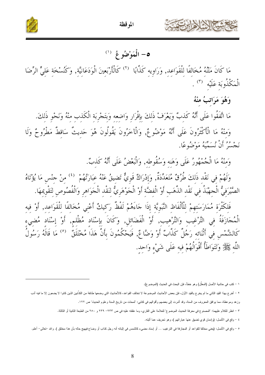



### $^{(1)}$  الْمَوْضُوعُ ( $^{(1)}$

مَا كَانَ مَتْنُهُ مُخَالِفًا لِلْقَوَاعِدِ, وَرَاوِيهِ كَذَّابًا ۚ (٢) كَالْأَرْبَعِينَ الْوَدَعَانِيَّةِ, وَكُنُسْخَةِ عَلِيٍّ الرِّضَا الْمَكْذُوبَة عَلَيْه <sup>(٣)</sup> .

وَهُوَ مَرَاتبُ منْهُ

مَا اتَّفَقُوا عَلَى أَنَّهُ كَذِبٌ وَيَعْرَفْ ذَلِكَ بِإِقْرَارِ وَاضِعِهِ وَبِتَجْرِبَةِ الْكَذِبِ مِنْهُ وَنَحْوِ ذَلِكَ. وَمِنْهُ مَا الْأَكْثَرُونَ عَلَى أَنَّهُ مَوْضُوعٌ, وَالْآخَرُونَ يَقُولُونَ هُوَ حَدِيثٌ سَاقِطٌ مَطْرُوحٌ وَلَا نَجْسُرُ أَنْ نُسَمِيهُ مَوْضُوعًا.

وَمِنْهُ مَا الْجُمْهُورُ عَلَى وَهَنِهِ وَسُقُوطِه, وَالْبَعْضُ عَلَى أَنَّهُ كَذبٌ.

وَلَهُمْ فِي نَقْدِ ذَلِكَ طُرُقٌ مُتَعَدِّدَةٌ, وَإِدْرَاكٌ قَوِيٌّ تَضِيقُ عَنْهُ عِبَارَتُهُمْ لَأ منْ جنْسِ مَا يُؤْتَاهُ الصَّيْرَفِيُّ الْجهْبَذُ فِي نَقْدِ الذَّهَبِ أَوْ الْفِضَّةِ أَوْ الْجَوْهَرِيُّ لِنَقْدِ الْجَوَاهِرِ وَالْفُصُوصِ لِتَقْوِيمِهَا.

فَلكَثْرَة مُمَارَسَتهمْ للْأَلْفَاظ النَّبَويَّة إذَا جَاءَهُمْ لَفْظٌ رَكيكٌ أَعْني مُخَالفًا للْقَوَاعد, أَوْ فيه الْمُحَازَفَةُ ۖ فِي التَّرْغَيبِ ۖ وَالتَّرْهيبِ, ۚ أَوْ الْفَضَائِلِ, وَكَانَ بِإِسْنَادِ مُظْلِمٍ, أَوْ إِسْنَاد مُضِيءِ<br>كَالشَّمْسِ فِي أَتْنَائِهِ رَجُلٌ كَذَّابٌ أَوْ وَضَّاعٌ, فَيَحْكُمُونَ بِأَنَّ هَذَاً مُخْتَلَق اللَّهِ ﷺ وَتَتَوَاطَأُ أَقْوَالُهُمْ فِيهِ عَلَى شَيْءٍ وَاحِدٍ.

٤ – وقع في الأصل: (وإدمان قوي تضيق عنها عباراتهم )، وهو تحريف عما أثبته.

١ – كتب في حاشية الأصل (المعلَّل) وهو خطأ، فإن البحث في الحديث (الموضوع).

٢ – أخرج بهذا القيد الثاني ما لم يخرج بالقيد الأول، فإن بعض الأحاديث الموضوعة لا تخالف الذات عن الثقافة المؤالفة من الكذَّابين الذين كانوا لا يضعون إلا ما فيه أدب

وزهد وموعظة، مما يوافق المعروف من السنة، وقد أشرت إلى بعضهم وأقوالهم في كتابي: "لمحات من تاريخ السنة وعلوم الحديث" ص ١٢٢.

٣ – انظر للكلام عليهما: "المصنوع في معرفة الحديث الموضوع" للعلامة علي القاري، وما علقته عليه في ص ٢٣٣ – ٢٣٩ و ٢٥٠ من الطبعة الثانية أو الثالثة.

٥ – وقع في الأصل: (يعني مخالفا للقواعد أو المجازفة في الترغيب … أو إسناد مضيء كالشمس في إثباته أنه رجل كذاب أو وضاع فيهيج حاله بأن هذا مختلق ). والله –تعالى– أعلم.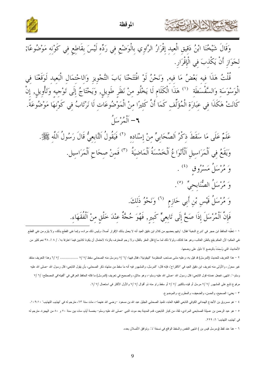



قُلْتُ هَذَا فيه بَعْضُ مَا فيه, وَنَحْنُ لَوْ افْتَتَحْنَا بَابَ التَّجْوِيزِ وَالِاحْتمَالِ الْبَعيد لَوَقَعْنَا فِي<br>الْوَسْوَسَةِ وَالسَّفْسَطَةِ <sup>(١</sup>) هَذَا الْكَلَامِ لَا يَخْلُو مِنْ نَظَرِ طَوِيلٍ, وَيَحْتَاجُ إِلَ ٢ – ٱلْمُرْسَلُ

عَلَمٌ عَلَى مَا سَقَطَ ذِكْرُ اَلصِّحَابِيِّ مِنْ إِسْنَادِهِ  $^{(7)}$  فَيَقُولُ اَلتَّابِعِيُّ قَالَ رَسُولُ اَللَّهِ ﷺ. وَيَقَعُ فِي اَلْمَرَاسِيلِ اَلْأَنْوَاعُ اَلْخَمْسَةُ اَلْمَاضِيَةُ ۚ (٣) فَمِنْ صِحَاحِ اَلْمَرَاسِيل. وَ مُرْسَلُ مَسْرُوق (<sup>٤)</sup> . وَ مُرْسَلُ الصُّنَابِحيِّ (°). وَ مُرْسَلُ قَيْسٍ بْنِ أَبِي حَازِمِ <sup>(٦)</sup> وَنَحْوُ ذَلِكَ. فَإِنَّ اَلْمُرْسَلَ إِذَا صَحَّ إِلَى تَابِعِيٌّ كَبِيرٍ, فَهُوَ حُجَّةٌ عِنْدَ خَلْقِ مِنْ اَلْفُقَهَاء.

١ – تعقُّبه الحافظ ابن حجر في "شرح النخبة" فقال: "وفهم بعضهم من كلام ابن قبل النقل الإقرار أصلا، وليس ذلك مراده، وإنما نفى القطع بذلك، ولا يلزم من نفي القطع نفي الحكم؛ لأن الحكم يقع بالظن الغالب، وهو هنا كذلك، ولولا ذلك لما ساغ قتل المعقر الفراد عن الغزاء الاحتمال أن يكونا كاذبين فيما اعترفا به". / ٨ !. ٣٨ نعم كثير من الأحاديث التي وُسِمَتْ بالوضع لا دليل على وضعها.

٢ – هذا التعريف للحديث (المرسل) قد قيل به، وعليه مشى صاحب المنظومة "البيقونية"، فقال فيها: /٦ / ٧ ومرسل منه الصحابي سقط /٧ / ٧ ................. /٧ وهذا التعريف منتقد غير محرَّر، والأولى منه تعريف ابن دقيق العيد في "الاقتراح"، فإنه قال: "المرسل، والمشهور فيه أنه منفسما منكل الصحابي، بأن يقول التابعي: قال رسول الله –صلى الله عليه وسلم–". انتهى. فجعل عمدته قول التابعي: قال رسول الله حصلي الله عليه وسلم–، وهو ملاق، والصحيح في تعريف (المرسل) ما قاله الحافظ العراقي في "ألفيته"في المصطلح: /٦ /٧ مرفوع نابع على المشهور /٧ /٧ مرسل أو قيده بالكبير /٧ /٧ أو سقط راو منه ذو أقوال /٧ /٧ والأول الأكثر في استعمال /٧ /٦.

٣ - يعني: الصحيح، والحسن، والضعيف، والمطروح، والموضوع.

يحافظه الشاها

٤ – هو مسروق بن الأجدع الهمداني الكوفي النابعي الفقيه العلبد، تلميذ الصحابي الجليل عبد الله سنه عنها علمات مات سنة ٦٣، مترجم له في "تهذيب التهذيب" ١٠٩:١٠. ٥ – هو عبد الرحمن بن عسيلة الصنابحي المرادي، ثقة، من كبار التابعين، قدم المدينة بعد موت النبي –صلى الشعليا وسلم– بخمسة أيام، مات بين سنة ٧٠ و ٨٠ من الهجرة. مترجم له في "تهذيب التهذيب" ٦: ٢٢٩.

٦ – هنا عند لفظ (ومرسل قيس بن ) انتهى النقص والسقط الواقع في نسخة "د". وتوافق الأصلان بعده.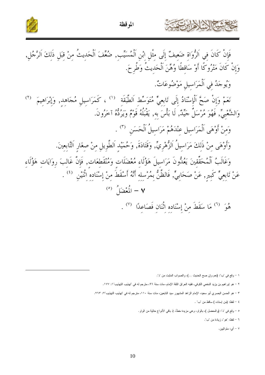

المو قظة

فَإِنْ كَانَ في اَلرُّواة ضَعيفٌ إلَى مثْل ابْن اَلْمُسَيِّب, ضُعِّفَ اَلْحَديثُ منْ قبَل ذَلكَ اَلرَّجُل, وَإِنْ كَانَ مَتْرُوكًا أَوْ سَاقطًا وُهِّنَ اَلْحَديثُ وَطُرحَ. وَيُوجَدُ في اَلْمَرَاسيل مَوْضُوعَاتٌ. نَعَمْ وَإِنْ صَحَّ اَلْإِسْنَادُ إِلَى تَابِعِيٌّ مُتَوَسِّط اَلطَّبَقَة <sup>(١)</sup> ، كَمَرَاسيل مُجَاهد, وَإِبْرَاهيمَ <sup>(٢)</sup> وَالشَّعْبِيِّ, فَهُوَ مُرْسَلٌ جَيِّدٌ, لَا بَأْسَ به, يَقْبُلُهُ قَوْمٌ وَيَرْدُهُ آخَرُونَ. وَمنْ أَوْهَى اَلْمَرَاسِيل عِنْدَهُمْ مَرَاسِيلُ اَلْحَسَنِ  $\left( \begin{matrix} \mathbf{r} \end{matrix} \right)$ . وَأَوْهَى منْ ذَلكَ مَرَاسيلُ اَلزُّهْرِيِّ, وَقَتَادَةَ, وَحُمَيْد اَلطَّويل منْ صغَار اَلتَّابعينَ. وَغَالَبُ اَلْمُحَقِّقينَ يَعُدُّونَ مَرَاسيلَ هَؤُلَاء مُعْضَلَات وَمُنْقَطِعَات, فَإِنَّ غَالبَ رِوَايَات هَؤُلَاءِ عَنْ تَابِعِيٌّ كَبِيرٍ, عَنْ صَحَابِيٍّ, فَالظَّنُّ بِمُرْسلِه أَنَّهُ أَسْقَطَ منْ إِسْنَادِهِ اثْنَيْن للنا  $\mathbf{v} = \mathbf{u}$ أَوْضَا $\mathbf{v}$ هُوَ (<sup>٦)</sup> مَا سَقَطَ منْ إسْنَاده اثْنَان فَصَاعدًا <sup>(٧)</sup> .

١ - وقع في "ب": (نعم وإن صح الحديث ...)، والصواب المثبت من "د".

٢ – هو إبراهيم بن يزيد النخعي الكوفي، فقيه العراق الثقة الإمام، مات سنة ٩٦، مترجم له في "تهذيب التهذيب"١: ١٧٧.

٣ - هو الحسن البصري أبو سعيد، الإمام الزاهد المشهور سيد التابعين، مات سنة ١١٠، مترجم له في "تهذيب التهذيب"٢: ٢٦٣.

٤ - لفظ: (من إسناده ) ساقط من "ب" .

٥ – وقع في "د": (والمعضل )، بالواو، وهي مزيدة خطأ، إذ باقي الأنواع خالية من الواو.

٦ - لفظ: "هو "، زيادة من "ب".

 $X:Z$ 

٧ – أي: متواليين.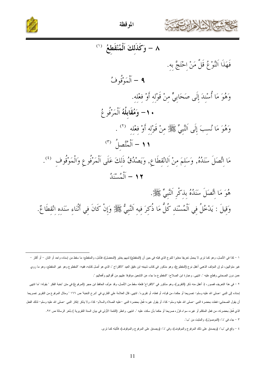![](_page_10_Picture_0.jpeg)

![](_page_10_Picture_2.jpeg)

٨ - وَكَذَلكَ اَلْمُنْقَطَعُ (١) فَهَذَا اَلنَّوْعُ قَلَّ مَنْ اِحْتَجَّ بِهِ. **۹** – اَلْمَوْقُوفُ وَهُوَ مَا أُسْندَ إِلَى صَحَابِيٍّ منْ قَوْلِهِ أَوْ فِعْلِهِ. . ١- وَمُقَابِلُهُ اَلْمَرْفُوعُ وَهُوَ مَا نُسبَ إِلَى اَلنَّبِيِّ ﷺ مِنْ قَوْلِهِ أَوْ فِعْلِهِ  $^{(7)}$  . ١١ - أَلْمُتَّصلُ (٣) مَا اتَّصَلَ سَنَدُهُ, وَسَلمَ منْ اَلانْقطَاعِ, وَيَصْدُقُ ذَلكَ عَلَى اَلْمَرْفُوعِ وَالْمَوْقُوف للخا ١٢ - أَلْمُسْنَدُ هُوَ مَا اتَّصَلَ سَنَدُهُ بذكْرِ اَلنَّبِيِّ ﷺ.

وَقِيلَ : يَدْخُلُ فِي اَلْمُسْنَدِ كُلٌّ مَا ذُكِرَ فِيهِ اَلنَّبِيُّ ﷺ وَإِنْ كَانَ فِي أَتْنَاءِ سَنَده انْقطَاعٌ.

١ – كذا في الأصل، وهو كما ترى لا يحمل تعريفا مغايرا للنوع الذي قبله في حين أن (المنقط، اللغط بي المنظم الغلغم ما سقط من إسناده واحد أو اثنان – أو أكثر غير متواليين، ثم إن المؤلف الذهبي أغفل نوع (المقطوع)، وهو مذكور في كتاب شيخه ابن دقيق العيد "الذي هو أصل كتابه، ففيه: "المقطوع وهو غير المنقطع، وهو ما روي عمن دون الصـحابـي وقطـع عليه ". انتهـي. وعبارة ابن الصـلاح: "المقطوع ما جاء عن التابعين موقوفا عليهم من أقوالهم وأفعالهم ".

٢ – في هذا التعريف قصور، إذ أغفل منه ذكر (التقرير)، وهو مذكور في "الاقتراح" فلعله سقط من الأصل، وقد عرَّف الحافظ ابن حجر (المرفوع) في متن "نخبة الفكر " بقوله: "ما انتهى إسناده إلى النبي —صلى الله عليه وسلم– تصريحا أو حكما، من قوله، أو نقريره". انتهى. قال العلامة علي القائل إلى التعنية" ص ١٦٦ " ومثال المرفوع من النقرير تصريحا أن يقول الصحابي: فعلت بحضرة النبي –صلى الله عليه وسلم–كذا، أو يقول غيره: فُعلَ بحضرة النبع –عليه الصلاة والسلام–كذا، ولا يذكر إنكار النبي –صلى الله عليه وسلم– لذلك الفعل الذي فُعلَ بحضرته، من فعل المنكلم أو غيره، سواء قرَّره صريحا أو حكما بأن سكت عليه ". انتهى. وانظر (التتمة الأولى في بيان السنة التقريرية ) بآخر الرسالة ص ٩٧.

٣ - جاء في "د": (الموصول)، والمثبت من "ب".

٤ – وقع في "ب": (ويصدق على ذلك المرفوع والموقوف)، وفي "د": (ويصدق على المرفوع والموقوف)، فأثبته كما نزى.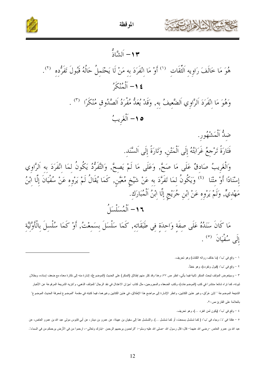![](_page_11_Picture_0.jpeg)

![](_page_11_Picture_2.jpeg)

١ - وقع في "ب": (ما خالف رواته الثقات) وهو تحريف.

٢ – وقع في "ب": (قبول وتفرده)، وهو خطأ.

٣ – وسيتعرض المؤلف لبحث المنكر ثانية فيما يأتي، انظر ص ٧٧، وهذا وقد كثر منهم إطلاق (المنكر) على الحديث (الموضوع)، إشارة منه إلى نكارة معناه مع ضعف إسناده، وبطلان ثبوته، كما تراه شائعا منتشرا في كتب (الموضوعات)، وكتب الضعفاء والمجروحين، مثل كتاب "ميزان الاعتدال في نقد الرجال" للمؤلف الذهبي، و"تتزيه الشريعة المرفوعة عن الأخبار الشنيعة الموضوعة " لابن عرَّاق، وغير هذين الكتابين، وانظر الإشارة إلى مواضع هذا الإطلاق، في غيرها، فيما لتنبد فهي مقدمة "الموضوع لمعرفة الحديث الموضوع المعزلة الحديث الموضوع بالعلامة على القارئ ص٢٠.

٤ - وقع في "ب": (يكون لمن انفرد …)، وهو تحريف.

٥ – هكذا في "د"، وجاء في "ب": (كما تسلسل بسمعت، أو كما تسلسل ...). والتسلسل هنا إلى سفيان بن عيينة، عن عمرو بن دينار، عن أبي قابوس مولي عبد الله بن عمرو العاص، عن عبد الله بن عمرو العاص –رضي الله عنهما– قال رسول الله حصلي الله عليه وسلم-: "الراحمون يرحمهم الرحمن –تبارك وتعالى–، ارحموا من في الأرض يرحمكم من في السماء".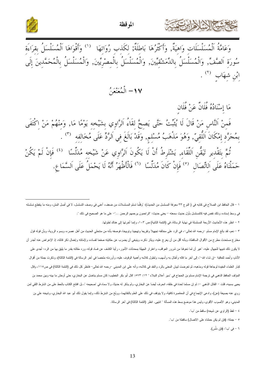![](_page_12_Picture_0.jpeg)

![](_page_12_Picture_2.jpeg)

ِ<br>وَعَامَّةُ اَلْمُسَلْسَلَات وَاهِيَةٌ, وَأَكْثَرُهَا بَاطَلَةٌ; لكَذب رُوَاتهَا <sup>(١)</sup> وَأَقْوَاهَا اَلْمُسَلْسَلُ بقراءَة<br>سُورَةِ اَلصَّفٌّ, وَالْمُسَلَّسَلُ بِالدِّمَشْقِيِّينَ, وَالْمُسَلْسَلُ بِالْمِصْرِيِّينَ, وَالْ ابْنِ شِهَابِ <sup>(۲</sup>) .<br>پ<sup>ان</sup>زِ شِهَاب

١٧– الْمُعَنْعَنُ

مَا إِسْنَادُهُ فُلَانٌ عَنْ فُلَانِ فَمنْ اَلنَّاسِ مَنْ قَالَ لَا يُثَبِّتُ حَتَّى يَصِحَّ لقَاءُ اَلرَّاوِي بشَيْخِه يَوْمًا مَا, وَمِنْهُمْ مَنْ<br>بِمُجَرَّدِ إِمْكَانَ اَللَّقِيّ, وَهُوَ مَذْهَبُ مُسْلِمٍ, وَقَدْ بَالَغَ فِي اَلرَّدِّ عَلَى مُخَالِفِهِ (٣ ثُمَّ بتَقْديرِ تَيَقُّنِ اَللِّقَاءِ, يَشْتَرِطُ أَنْ لَا يَكُونَ اَلرَّاوِي عَنْ شَيْخه مُدَلِّسًا <sup>(٤)</sup> فَإِنْ لَمْ يَكُنْ<br>حَمَلْنَاهُ عَلَى اَلِاتِّصَالِ <sup>(٥)</sup> فَإِنْ كَانَ مُدَلِّسًا <sup>(٦)</sup> فَالْأَظْهَرُ أَنَّهُ لَا ي

١ – قال الحافظ ابن الصلاح في كتابه في ( النوع ٣٣ معرفة المعلسل من الحديث): "وقلَّما تسلم النسلمان من ضعف، أعني في وصف التسلسل، لا في أصل المنن، ومنه ما ينقطع تسلسله في وسط إسناده، وذلك نقص فيه كالمسلسل بأول حديث سمعته – يعني حديث: "الراحمون يرحمهم الرحمن …"– على ما هو الصحيح في ذلك ".

٢ – انظر هذه الأحاديث الأربعة المسلسلة في نهاية الرسالة، في (النتمة الثانية) ص ١٠٣، وإنما أخرتها إلى هناك لطولها.

٣ – نعم، لقد بالغ الإمام مسلم –رحمه الله تعالى–، في الرد على مخالفه تجهيلا وتؤيها وتوبيخا، فوصفه بأنه من منتحلي الحديث من أهل عصره، وبسوء الروية، وبأن قوله قول مخترع مستحدث مطرح من الأقوال الساقطة، وبأنه أقل من أن يعرج عليه، ويثار ذكره، وينبغي أن يضرب عن حكايته صفحا لفساده، ولإماتته وإخمال ذكر قائله، إذ الإعراض عنه أجدر أن لا يكون ذلك تتبيها للجهال عليه، "غير أن لما تخوفنا من شرور العواقب، واغترار الجهلة بمحدثات الأمور، رأينا الكثىف عن فساد قوله، ورد مقالته بقدر ما يليق بها من الرد: أجدى على الأنام، وأحمد للعاقبة –إن شاء الله–"، إلى أخر ما قاله وأطال به وأسهب، ولطول كلامه وألفوا عليه، وأوردته ملخصا في أخر الرسالة في (النتمة الثالثة)، وذكرت جملة من أقوال كبار العلماء المفيدة لوجاهة قوله ومذهبه، ثم تعرضت لبيان المعنى بالرد والنقد في كلامه، وأنه علي ال والم تعالمي سفالهي = فانظر كل ذلك في (النتمة الثالثة) في ص١١٥، وقال .<br>المؤلف الحافظ الذهبي في ترجمة الإمام مسلم بن الحجاج في "سير أعلام النبلاء "٥٧٣ : ١٢ "قال التي المغارف عن البخاري، حتى أوحش ما بينه وبين محمد بن يحيى بسببه، قلت – القائل الذهبي –: ثم إن مسلما لحدة في خلقه، انحرف أيضا عن البخاري، ولم يذيأ، ولا سماه في 'صحيحه "، بل افتتح الكتاب بالحط على من اشترط اللقي لمن روي عنه بصيغة (عن)، وادعى الإجماع في أن المعاصرة كافية، ولا يتوقف في ذلك على العلم بالنقائهما، ووبَّخ من اشترط ذلك، وإنما يقول ذلك أبو عبد الله البخاري، وشيخه علي بن المديني، وهو الأصوب الأقوى، وليس هذا موضع بسط هذه المسألة " انتهى. انظر (التتمة الثالثة) في آخر الرسالة.

- ٤ لفظ (الراوي عن شيخه) ساقط من "ب".
- ٥ جملة: (فإن لم يكن حملناه على الاتصال) ساقطة من "ب".
	- ٦ في "ب": (فإن دلِّس).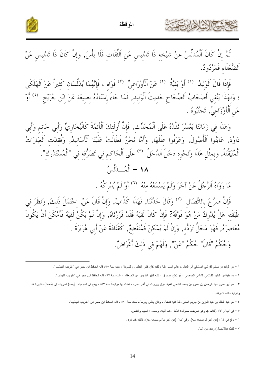![](_page_13_Picture_0.jpeg)

الموقظة

![](_page_13_Picture_2.jpeg)

.<br>ثُمَّ إِنْ كَانَ اَلْمُدَلِّسُ عَنْ شَيْخِه ذَا تَدْليسٍ عَنِ اَلثِّقَاتِ فَلَا بَأْسَ, وَإِنْ كَانَ ذَا تَدْليسٍ عَنْ اَلضُّعَفَاء فَمَرْدُودٌ.

فَإِذَا قَالَ اَلْوَلِيدُ <sup>(١)</sup> أَوْ بَقِيَّةُ <sup>(٢)</sup> عَنْ اَلْأَوْزَاعِيِّ <sup>(٣)</sup> فَوَاهِ ، فَإِنَّهُمَا يُدَلِّسَانِ كَثِيراً عَنْ اَلْهَلْكَى مَ عَمَّدَ عَمَّدٍ عَلَيْهِمْ وَالْمُسَمَّحَةِ حَدِيثَ الْوَلِيدِ, فَمَا جَاءَ إِسْنَادُهُ بِصِيغَة عَنْ ابْنِ جُرَيْجٍ (<sup>٤)</sup> أَوْ<br>؛ وَلَهَذَا يَتَّقي أَصْحَابُ اَلصِّحَاحِ حَدِيثَ الْوَلِيدِ, فَمَا جَاءَ إِسْنَادُهُ بِصِ عَن اَلْأَوْزَاعيٌّ, تَجَنَّبُوهُ .

وَهَذَا فِي زَمَانَنَا يَعْسُرَ نَقْدُهُ عَلَى اَلْمُحَدِّث, فَإِنَّ أُولَئِكَ اَلْأَئِمَّةَ كَالْبُخَارِيِّ وَأَبِي حَاتِمٍ وَأَبِي<br>دَاوُدَ, عَايَنُوا اَلْأَصُولَ, وَعَرَفُوا عِلَلَهَا, وَأَمَّا نَحْنُ فَطَالَتْ عَلَيْنَ اَلْمُتَيَقَّنَةُ, وَبِمِثْلِ هَذَا وَنَحْوِهِ دَخَلَ اَلدَّخَلُ <sup>(٥)</sup> عَلَى اَلْحَاكِمِ فِي تَصَرُّفِهِ فِي "اَلْمُسْتَدْرَكِ". ١٨ - أَلْمُسْدَلَّسُ

مَا رَوَاهُ اَلرَّجُلُ عَنْ آخَرَ وَلَمْ يَسْمَعْهُ مِنْهُ ۚ ۚ (٦) أَوْ لَمْ يُدْرِكُهُ .

فَإِنْ صَرَّحَ بِالاتِّصَالِ ۚ ('' وَقَالَ حَدَّثَنَا, فَهَذَا كَذَّابٌ, وَإِنْ قَالَ عَنْ, احْتَمَلَ ذَلكَ, وَنَظَرَ في طَبَقَتِهِ هَلْ يُدْرِكُ مَنْ هُوَ فَوْقَهُ? فَإِنْ كَانَ لَقِيَهُ فَقَدْ قَرَّرْنَاهُ, وَإِنْ لَمْ يَكُنْ لَقِيَهُ فَأَمْكَنَ أَنْ يَكُونَ مُعَاصِرَهُ, فَهُوَ مَحَلٌّ تَرَدُّدٍ, وَإِنْ لَمْ يُمْكِنْ فَمُنْقَطِعٌ, كَقَتَادَةَ عَنْ أَبِي هُرَيْرَةَ . وَحُكْمُ "قَالَ" حُكْمُ "عَنْ", وَلَهُمْ في ذَلكَ أَغْرَاضٌ.

١ – هو الوليد بن مسلم القرشي الدمشقي أبو العباس، عالم الشام، ثقة ، لكنه كان كثير التنليس والتسوية ، مات سنة ٩٥، قاله الحافظ ابن حجر في " تقريب التهذيب ".

٢ – هو بقية بن الوليد الكلاعي الشامي الحمصي ، أبو يُحُمد صدوق ، لكنه كثير التدليس عن الضعفاء ، مات سنة ٩٧، قاله الحافظ ابن حجر في " تقريب التهذيب".

٣ – هو أبو عمرو عبد الرحمن بن عمرو بن يحمد الشامي الفقيه، نزل ببيروت في أخر عمره ، فمات بها مرابطاً سنة ١٥٧، ويقع في اسم جده: (يحمد) تحريف إلى (محمد)، لشهرة هذا وغرابة ذاك، فاعرفه.

٤ – هو عبد الملك بن عبد العزيز بن جريج المكي، ثقة فقيه فاضل ، وكان يدلس ويرسل، مات سنة ١٥٠، قاله الحافظ ابن حجر في " تقريب التهذيب".

٥ – في "ب" و "د": (الداخل)، وهو تحريف، صوابه: الدَّخَلَ، كما أثبته، ومعناه : العيب والنقص.

٦ – وقع في "د" : (عن أخر لم يسمعه منه)، وفي "ب": (عن أخر ما لم يسمعه منه)، فأثبته كما نرى.

٧ - لفظ: (بالاتصال) زيادة من "ب".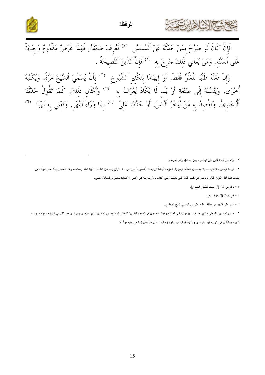![](_page_14_Picture_0.jpeg)

![](_page_14_Picture_2.jpeg)

وَإِنْ فَعَلَهُ طَلَبًا للْعُلُوِّ فَقَطْ, أَوْ إيهَامًا بتَكْثير اَلشُّيوخ ۚ (٣) بأَنْ يُسَمِّيَ اَلشَّيخَ مَرَّةً, وَيُكَنِّيهُ أُخْرَى, وَيَنْسُبُهُ إِلَى صَنْعَةِ أَوْ بَلَدٍ لَا يَكَادُ يُعْرَفُ بِهِ  $\hspace{0.3cm}^{(3)}$  وَأَمْثَالٍ ذَلِكَ, كَمَا تَقُولُ حَدَّثَنَا اَلْبُخَارِيُّ, وَتَقْصِدُ به مَنْ يُبَخَّرُ اَلنَّاسَ, أَوْ حَلَّتَنَا عَلَيٌّ <sup>(٥)</sup> بمَا وَرَاءَ اَلنَّهْر, وَتَعْني به نَهْرًا <sup>(٦)</sup>

١ - وقع في "ب": (فإن كان لوضوح بمن حدثه)، وهو تحريف.

٢ – قوله: (بعاني ذلك) يقصد به: يفعله ويتعاطاه، وسيقول المؤلف أيضاً في بحث (المقلوب) في : • ولن يفلح من تعاناه" . أي: فعله وصنعه، وهذا المعنى لهذا الفعل مولَّد، من

استعمالات أهل القرن الثامن، وليس في كتب اللغة التي بأيدينا، ففي "القاموس" وشرحه في (عني): "عاناه: شاجره وقاساه". انتهى.

- ٣ وقع في "د": (أو إيهاما لنكثير الشيوخ).
	- ٤ في "ب": (لا يعرف به).

**REZZ** 

٥ - اسم على أشهر من يطلق عليه على بن المديني شيخ البخاري.

٦ – ما وراء النهر : المعني بالنهر هنا نهر جيحون، قال العلامة ياقوت الحموي في 'معجم البلدان' ٤٥:٢: 'يراد بما وراء النهر : نهر جيحون بخراسان فما كان في شرقيه سموه ما وراء

۔<br>النھر ، وما کان في غربيه فھو خر اسان وو لاية خوارز م، وخوارز ۾ ليست من خر اسان إنما ھي اقليم ٻر اُسه".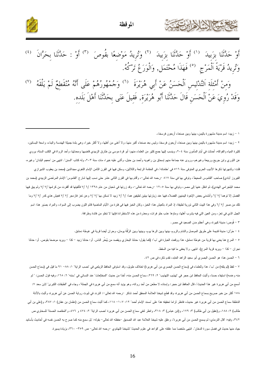![](_page_15_Picture_0.jpeg)

![](_page_15_Picture_2.jpeg)

١ – زبيد: اسم مدينة مشهورة باليمن، بينها وبين صنعاء أربعون فرسخا،.

٢ – زبيد: اسم مدينة مشهورة باليمن بينها وبين صنعاء أربعون فرسخا، وليسمع اعتبار من اعليه ولكثر الكثر خيرا، وهي بلدة جميلة الهندسة والبناء، واسعة البصاتين، كثيرة المياه والفواكه، أحدثت في أيام المأمون سنة ٢٠٤، وينسب إليها جمع كثير من العاماء منهن أحمر المعني المعنها ومحدثها، وأحد الرواة في الكتب الستة، يروي عن الثوري ولبن جريج وربيعة وغيرهم، وروى عنه جماعة منهم إسحاق بن راهويه وأحمد بن حنيل، وأثنى عليه خيرا، مات سنة ٢٠٢، وله كتاب "لسنن". انتهى من "معجم البلدان" وغيره، .<br>قلت: ولشهرتها ذكرها الأديب الحريري المتوفى سنة ٥١٦ فى "مقاماته"، في المقامة الرابعة والثلاثين، وسكن الفون الثمان الإمام اللغوي مجدالدين (محمد بن يعقوب الشيرازي الفيروز آبادي) صاحب "القاموس المحيط"، وتوفي بها في سنة ٨١٧ –رحمه الله تعالى–، وأقام بها في عشر حتى نسب إليها شارح "القاموس" الإمام المرتَضمي الزبيدي (محمد بن محمد البلجرامي الهندي)، ثم انتقل عنها إلى مصر ، وتوفى بها سنة ١٢٠٥ –رحمه الله تعالى–، وقد زرتها فى شعبان من عام ١٣٩٨ /٧ / أفألفيتها قد أقفرت من كرامها /٧ /٧ ولم يبق فيها الفضل إلا توهما /٧ /٦ وأنشدني بعض الإخوة اليمنيين الفضلاء فيها عند زيارتها بيتين لطيفين هما: /٦ /٧ زبيد لا تسكن بها /٧ /٧ وعن تعز فازدجر /٧ /٧ فعيش هذي كدر /٧ /٧ وما تلك من صبر /٢ /٦ وفي هذا البيت الثاني تورية لطيفة، إذ المراد بالعيش هنا: الخبز، وكان الخبز فيها في فترة من الأيام الماضية قاتم اللون يضرب إلى السواد، والمراد بصَبر هنا: اسم الـجبل الذي فـي تـعز، ومن الـعين التـي فيه بشرب أهلها، وماؤها عذب حلو فرات، ومعذرة من هذه الاستطرادة فإنها لا تخلو من فائدة وطرافة.

٣ – قُوص: مدينة كبير ة، و هي أعظم مدن الصعيد في مصر .

٤ – حَرَّان: مدينة قديمة على طريق الموصل والشام والروم، بينها وبين الرها يوم، وبينها وبين الرَّقَّة يومان، وحران أيضا قرية فى غوطة دمشق.

٥ – المرج هنا يعنى بها قرية من غوطة دمشق، هذا ووقعت العبارة في "ب": (كما يقول: حشا البخاري ويقصد من يُبَخِّر الناس. أو: حدثنا زبيد – كذا – ويريد موضعا بقوص. أو: حدثنا نجران – كذا – ويريد قرية المرج). انتهى. ولا يخفى ما فيه من السقط.

٦ – الحسن هنا: هو الحسن البصري أبو سعيد الزاهد العابد، تقدم ذكره في ص ٤٢.

٧ – لفظ (لم يلقه) من "ب"، هذا وللعلماء في (سماع الحسن البصري من أبي هريرة) لختلاف طويل، وقد استوفى الحافظ الزيلعي في "نصب الراية" ١: ٨٨– ٩١ ما قيل في (سماع الحسن منه و عدمه) استيفاء حسنا، وأثبت الحافظ ابن حجر في "تهذيب التهذيب" ٢: ٢٦٩، سماع الحمن المعنا عن النسائي المحتلمات" في "سننه" ٦: ١٦٨، وفيه قول الحسن: "لم أسمع من أبي هريرة غير هذا الحديث"، قال الحافظ ابن حجر : وإسناده لا مطعن من أحد رواته، وهو يؤيد أبي هرير و في الجملة"، وجاء في "الطبقات الكبرى" لابن سعد ٧: ١٥٨ أكثر من خبر صريح بسماع الحسن من أبي هريرة، وقد قطع شيخنا العلامة المحقق أحمد شاكر —رحمه الله تعالى–: التردد في ثبوت رواية الحسن عن أبي هريرة، وأثبت بالأدلة الناطقة سماع الحسن من أبي هريرة غير حديث، فانظر لزاما تحقيقه هذا على "معند الإمام أحمد" ١١/ ١٤٠٤- ١٨/ ١٤٥٤، وأص الحسن من (عثمان بن عفان) ١: ٢٨٧، و(على بن أبي طالب) ٢: ١٨٨، و(عقيل بن أبي طالب) ٣: ١٧٩، و(ابن عباس) ٣: ٣١٨، وانظر لففي سماع الحسن من أبي هريرة تصب الراية" ٢: ٧٤٤ و ٤٧٦، و"العقاصد الحسنة" للسخاوي ص ٢٤٢، وفيه: "قال الترمذي: لم يسمع الحسن من أبي هريرة"، وعلق عليه شيخنا العلامة عبد الله العلي عليه القصائم العاصر المسم منه كما صرح به الحسن نفسه في أحاديث بأسانيد جياد منها حديث في فضل سورة الدخان". انتهى ملخصا مما علقته على "قواعد في علوم الحديث" لشيخنا التهانوي –رحمه الله تعالى– ص ٣٥٩– ٣٦٠، بزيادة يسيرة.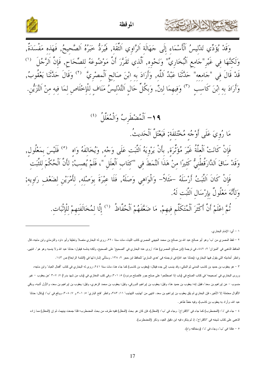![](_page_16_Picture_0.jpeg)

![](_page_16_Picture_2.jpeg)

وَقَلْ يُؤَدِّي تَدْلِيسُ اَلْأَسْمَاءِ إِلَى جَهَالَةِ اَلرَّاوِي اَلثَّقَة, فَيُرَدُّ خَبَرُهُ اَلصَّحِيحُ, فَهَذه مَفْسَدَةٌ, وَلَكِنَّهَا فِي غَيْرِ"جَامِعِ اَلْبُخَارِيِّ" وَنَحْوِهِ, اَلَّذِي تَقَرَّرَ أَنَّ مَوْضُوعَهُ لِلصِّحَاحِ, فَإِنَّ اَلرَّجُلَ <sup>(١)</sup> قَدْ قَالَ فِي "جَامِعِه" حَدَّثَنَا عَبْدُ اَللَّهِ, وَأَرَادَ بِهِ ابْنَ صَالِحٍ اَلْمِصْرِيَّ  $^{(7)}$  وَقَالَ حَدَّثَنَا يَعْقُوبُ, وَأَرَادَ بِهِ ابْنَ كَاسِبٍ ۚ (٣) وَفِيهِمَا لِينٌ, وَبِكُلِّ حَالٍ اَلتَّدْلِيسُ مَنَافٍ لِلْإِخْلَاصِ لِمَا فِيهِ مِنْ اَلتَّزَيْنِ.

١٩- اَلْمُضْطَربُ وَالْمُعَلَّلُ (2)

مَا رُوِيَ عَلَى أَوْجُهِ مُخْتَلِفَةٍ; فَيَعْتَلَّ اَلْحَدِيثُ.

فَإِنْ كَانَتْ اَلْعِلَّهُ غَيْرَ مُؤَثِّرَةٍ, بِأَنْ يَرْوِيَهُ اَلثَّبَتِ عَلَى وَجْهِ, وَيُخَالِفَهُ وَاهٍ <sup>(٥)</sup> فَلَيْسَ بِمَعْلُولٍ, وَقَدْ سَاقَ اَلدَّارَقُطْنِيُّ كَثِيرًا مِنْ هَذَا اَلنَّمَطَ فِي "كِتَابِ اَلْعِلَلِ "، فَلَمْ يُصِبْ; لِأَنَّ الْحُكْمَ لِلثَّبَتِ فَإِنْ كَانَ اَلتَّبَتُ أَرْسَلَهُ –مَثَلاً– وَالْوَاهِي وَصَلَهُ, فَلَا عِبْرَةَ بِوَصْلِهِ, لِأَمْرَيْنِ لِضَعْفِ رَاوِيهِ; وَلأَنَّهَ مَعْلُولٌ بِإِرْسَالِ اَلتَّبَت لَهُ. نُمَّ اِعْلَمْ أَنَّ أَكْثَرَ اَلْمُتَكَلَّمٍ فِيهِمْ, مَا ضَعَّفَهُمْ اَلْحُفَّاظُ  $\overset{(1)}{)}$  لِلَّا لِمُخَالَفَتِهِمْ لِلْإِثْبَاتِ.

١ - أي: الإمام البخار ي.

٢ – لفظ المصري من "ب" وهو أبو صالح عبد الله بن صالح بن محمد الجهني المصري كاتب الليث، مات سنة ٢٢٠، روى له البخاري متصلا ونعليقا وأبو داود والترمذي وابن ماجه، قال الحافظ الذهبي في "الميزان" ٢: ٤٤٢، في ترجمة (ابن صالح المصري) هذا: "روى عنه البخاري في "الصحيح" على الصحيح، ولكنه يدلسه فيقول: حدثنا عبد الله ولا ينسبه وهو هو". انتهى. وانظر أحاديثه التي يقول فيها البخاري: (حدثنا عبد الله) في ترجمته في "هدي الساري" للحافظ ابن حجر ١٢٨٠. وستأتي إشارة لها في (النتمة الرابعة) ص ١٤٣.

٣ – هو يعقوب بن حميد بن كاسب المدني ثم المكي، وقد ينسب إلى جده فيقال: (يعقوب بن كاسب) كما جاء هنا، مات سنة ٢٤١، روى له البخاري في كتاب "أفعال العباد" وابن ماجه، وروى البخاري في "صحيحه" في كتاب الصلح في (باب إذا اصطلحوا على صلح جور فالصلح مردود) ٥: ٣٠١، وفي كتب المغازي في (باب من شهد بدرا) ٢٠٧ "عن يعقوب – غير منسوب – عن ايراهيم بن سعد"، فقيل إنه: يعقوب بن حميد هذا، وقيل: يعقوب بن ايراهيم الدورقي، وقيل: وهو الزهري، وقيل: يعقوب بن ايراهيم بن سعد، والأول أشبه، وباقي الأقوال محتملة إلا الأخير، فإن البخاري لم يلق يعقوب بن ايراهيم بن سعد. انتهى من "تهذيب " ١: ٣٨٣، وانظر "فتح الباري" ٥: ٣٠١ و ٢٠١، ووقع في "ب": (وقال: حدثنا عبد الله، وأراد به يعقوب بن كاسب)، وفيه خطأ ظاهر .

٤ –جاء في "د": (المضطرب) كما جاء في "الاقتراح". وجاء في "ب": (المعلل)، فإن كان هو بحث (المعلل) ففيه طرف من بحث المضطرب؛ فلذا جمعت بينهما، ثم إن (المعلل) مما زاده الذهبي على كتاب شيخه في "الاقتراح"، إذ لم يذكره فيه ابن دقيق العيد، وذكر (المضطرب).

٥ - هكذا في "ب"، وجاء في "د": (ومخالفه واه).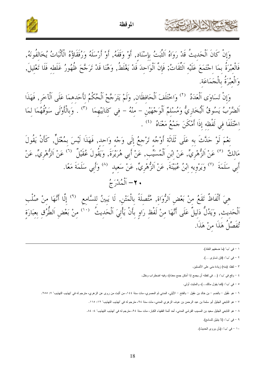![](_page_17_Picture_0.jpeg)

الموقظة

![](_page_17_Picture_2.jpeg)

وَإِنْ كَانَ اَلْحَديثُ قَدْ رَوَاهُ اَلتَّبَتُ بِإِسْنَاد, أَوْ وَقَفَهُ, أَوْ أَرْسَلَهُ وَرُفَقَاؤُهُ الْأَنْبَاتُ يُخَالفُونَهُ,<br>فَالْعُبْرَةُ بِمَا اجْتَمَعَ عَلَيْهِ اَلتِّقَاتُ; فَإِنَّ الْوَاحِدَ قَدْ يَغْلَطُ, وَ وَالْعَبْرَةُ بِالْجَمَاعَةِ.

وَإِنْ تَسَاوَى اَلْعَدَدُ ۚ ('' وَاخْتَلَفَ اَلْحَافِظَانِ, وَلَمْ يَتَرَجَّحْ اَلْحُكْمُ لِأَحَدِهِمَا عَلَى اَلْآخَرِ, فَهَذَا اخْتَلَفَا في لَفْظه إِذَا أَمْكَنَ جَمْعُ مَعْنَاهُ  $^{(3)}$  .

نِعْمَ لَوْ حَدَّثَ بِهِ عَلَى ثَلَاثَة أَوْجُه تَرْجِعُ إِلَى وَجْهِ وَاحِد, فَهَذَا لَيْسَ بِمُعْتَلٍّ, كَأَنْ يَقُولَ<br>مَالِكٌ <sup>(٥)</sup> عَنْ الزُّهْرِيِّ, عَنْ ابْنِ الْمُسَيِّبِ, عَنْ أَبِي هُرَيْرَةَ, وَيَقُولَ عُقَيْلٌ أَبِي سَلَمَةَ <sup>(٧)</sup> وَيَرْوِيهِ ابْنُ عُيَيْنَةَ, عَنْ اَلزُّهْرِيٍّ, عَنْ سَعِيدِ <sup>(٨)</sup> وَأَبِي سَلَمَةَ مَعًا. • ٢– اَلْمُدْرَجُ

هِيَ أَلْفَاظُ تَقَعُ منْ بَعْضِ اَلرُّوَاةِ, مُتَّصلَةً بِالْمَتْنِ, لَا يَبِينُ للسَّامِعِ <sup>(٩)</sup> إِلَّا أَنَّهَا منْ صُلْبِ<br>الْحَدِيثِ, وَيَدُلُّ دَلِيلٌ عَلَى أَنَّهَا مِنْ لَفْظِ رَاوٍ بِأَنْ يَأْتِيَ الْحَدِيثُ <sup>(١٠)</sup> تُفَصِّلُ هَذَا منْ هَذَا.

- ١ في "ب" (ما ضعفهم النقاد).
- ٢ في "ب": (فإن نساوى ...).
- ٣ لفظ: (منه) زيادة مني على الأصلين.
- ٤ وقع في "ب": (... في لفظه أن يجمع إذا أمكن جمع معناه)، وفيه اضطراب وخلل.
	- ٥ في "ب": (كما يقول مالك…)، والمثبت أولـي.
- ٦ هو عُقَيل بالضم بن خالد بن عَقِيل بالفتح الأيلي، المدني ثم المصري، مات سنة ١٤٤، من أثبت من روى عن الزهري، مترجم له في "تهذيب التهذيب" ٧: ٢٥٥.
	- ٧ هو التابعي الجليل أبو سلمة بن عبد الرحمن بن عوف الزهري المدني، مات سنة ٩٤، مترجم له في "تهذيب التهذيب" ١٢: ١١٥.
	- ٨ هو التابعي الجليل سعيد بن المسيب القرشي المدني، أحد أئمة الفقهاء الكبار، مات سنة ٩٤، مترجم له في "تهذيب التهذيب" ٤: ٨٤.
		- ٩ في "ب": (لا يتبيَّن للسامع).
		- ١٠ في "ب": (بأن يروى الحديث).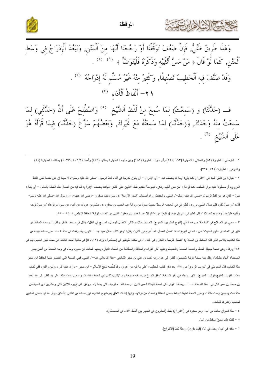![](_page_18_Picture_0.jpeg)

![](_page_18_Picture_2.jpeg)

وَهَذَا طَرِيقٌ ظَنِّيٌّ, فَإِنْ ضَعُفَ تَوَقَّفْنَا أَوْ رَجَّحْنَا أَنَّهَا مِنْ اَلْمَتْنِ, وَيَبْعُدُ اَلْإِدْرَاجُ فِي وَسَطِ<br>اَلْمَتْنِ, كَمَا لَوْ قَالَ ﴿ مَنْ مَسَّ أُنْثَيَيْهِ وَذَكَرَهُ فَلْيَتَوَضَّأْ ﴾ (١) (٢ وَقَدْ صَنَّفَ فِيهِ اَلْخَطِيبُ تَصْنِيفًا, وَكَثِيرٌ مِنْهُ غَيْرُ مُسَلَّمٍ لَهُ إِدْرَاجُهُ  $\hspace{0.5cm}$  . ( \*) أَلْفَاظُ اَلْأَدَاءِ (\*)

ف (حَدَّثَنَا) و (سَمِعْتُ) لِمَا سُمعَ مِنْ لَفْظِ اَلشَّيْخِ <sup>(٥)</sup> وَاصْطُلِحَ عَلَى أَنَّ (حَدَّثَنِي) لِمَا سَمِعْتُ مِنْهُ وَحْدَكَ, وَ(حَدَّثَنَا) لِمَا سَمِعْتُهُ مَعَ غَيْرِكَ, وَبَعْضُهُمْ سَوَّغَ (حَدَّثَنَا) فِيمَا قَرَأَهُ هُوَ عَلَى اَلشَّيْخِ (٦) .

١ – الترمذي : الطهارة (٨٢) والنسائي : الطهارة (١٦٣، ١٦٤) وأبو داود : الطهارة (١٨١) وابن ماجه : الطهارة وسننها (٤٧٩) وأحمد (٤٠٧/٦، ٤٠٧/٦، ٤) ومالك : الطهارة (٩١) والدارمي : الطهارة (٢٢٤ ,٢٢٥).

٢ – عبارة ابن دقيق العيد في "الاقتراح" كما يلي: "وما قد يضعف فيه – أي الإدراج – أن يكون مدرجا في أثناء لفظ الرسول –صلى الله عليه وسلم–، لا سيما إن كان مقدما على اللفظ المروي، أو معطوفا عليه بواو العطف، كما لو قال: "من مس أنثييه وذكره فليتوضأ" بتقديم لفظ الذكر فلماهنا يضعف الإدراج؛ لما فيه من اتصال هذه اللفظة بالعامل – أي بفعل: مسَّ – الذي هو من لفظ الرسول –صلى الله عليه وسلم–". انتهى. والحديث رواه أصحاب "لسنن الأربعة" عن بسرة بنت صفوان –رضي الله عنها–، أن رسول الله –صلى الله عليه وسلم– قال: "من مسَّ ذكره فليتوضأ". انتهى. وروى الطبراني في "معجمه الوسط" حديث بسرة من رواية عبد الحميد بن حشام بن عروة، عن أبيه، عن بسرة مرفوعا: "من مسَّ فرجه وأنثيبه فليتوضأ وضوءه للصلاة "، قال الطبراني: لم يقل فيه: (وأنثيه) عن هشام إلا عبد الحميد بن جعفر ". لنتهى من "نصب الراية" للحافظ الزيلعي ١: ٥٤ – ٥٥.

٣ – سمي ابن الصلاح في "المقدمة" ص ١٠٨ في (النو ع العشرين: المدرج) التصنيف بالاسم النالي "الفصل للوصل، المدرج في النقل"، وقال في مدحه: "فشَفَى وكفَى "، وسماه الحافظ ابن كثير في "لختصار علوم الحديث" ص ٨٠، في النوع نفسه: "فصل الفصل، لما أُدرجَ في النقل"، وقال: "وهو كتاب حافل مفيد جدا ". انتهى. وقد وقفت في سنة ١٤٠٤ على نسخة نفيسة من هذا الكتاب، بالاسم الذي قاله الحافظ ابن الصلاح: "الفصل للوصل، المدرج في النقل "، في مكتبة (117 ، 2) ف مكتب ألمح الثالث، في مجلد كبير الحجم، يقع في ٢٤٣ ورقة، وهي نسخة جميلة الخط، واضحة الصحة والضبط، وعليها أثار القراءة والمقابلة والمطالعة من العلماء الكبار، ومنهم الحافظ ابن حجر، وجاء في وجه النسخة من أعلى يسار الصفحة: "أنهاه مطالعة، ونقل منه نسخة مرتبة مُختصرُه الفقير إلى عون ربه أحمد بن على الشامع الله عنه عنه الساسم في النسخة التي اختصر منها الحافظ ابن حجر هذا الكتاب، قال السيوطي في "تدريب الراوي" ص ١٧٨ بعد ذكر كتاب الخطيب: "على ما فيه من إعواز ، وقد لخَصه شيخ الإسلام – ابن حجر – وزاد عليه قدره مرتين وأكثر ، ففي كتاب سمَّاه: "تقريب المنهج بترتيب المدرج". انتهى. وجاء في أخر النسخة: "وافق الفراغ من نسخه صبيحين مسته سنة ست وسبعين وست مائة، على يد الفقير إلى الله أحمد بن محمد بن عمر الكردي –عفا الله عنه–… " . وبعدها: "قوبل على نسخة شيخنا شمس الدين –رحمه الله نبخط وسفه ووافق الفراغ يوم الإثنين ثاني وعشرين ذي الحجة من سنة ست وسبعين وست مائة "، وعلى النسخة تعليقات بخط بعض الحفاظ والعلماء من قرائها، وفيها إفادات تتعلق حالكتاب فهي نسخة من نفائس الأعلاق، يسَّر الله لها بعض المتقنين لخدمتها ونشرها للعلماء.

٤ – هذا العنوان ساقط من "ب"، وهو معدود في (الاقتراح) بلفظ (العشرون في التمييز بين ألفاظ الأداء في المصطلح).

٥ - لفظ: (لما سمع) ساقط من "ب".

٦ – هكذا في "ب"، وجاء في "د": (فيما يقرؤه)، وهذا لفظ (الاقتراح).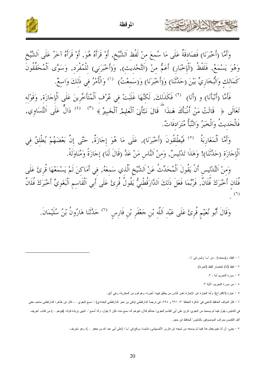![](_page_19_Picture_0.jpeg)

الموقظة

وَأَمَّا (أَخْبَرَنَا) فَصَادِقَةٌ عَلَى مَا سُمعَ مِنْ لَفْظِ اَلشَّيْخ, أَوْ قَرَأَهُ هُوَ, أَوْ قَرَأَهُ آخَرُ عَلَى اَلشَّيْخ وَهُوَ يَسْمَعُ, فَلَفْظُ (اَلْإِخْبَارِ) أَعَمُّ مِنْ (التَّحْدِيثِ), وَ(أَخْبَرَنِي) لِلْمُفْرَدِ, وَسَوَّى اَلْمُحَقَّقُونَ كَمَالِكِ وَالْبُخَارِيِّ بَيْنَ (حَلَّتَنَا) وَ(أَخْبَرَنَا) وَ(سَمِعْتُ)  $^{(1)}$  وَالْأَمْرُ فِي ذَلِكَ وَاسِعٌ.

فَأَمَّا (أَنْبَأَنَا) و (أَنا)  $\,$  فَكَذَلِكَ, لَكنَّهَا غَلَبَتْ فِي عُرْفِ اَلْمُتَأَخِّرينَ عَلَى اَلْإِجَازَة, وَقَوْله تَعَالَى ﴿ قَالَتْ مَنْ أَنْبَأَكَ هَـٰذَا ۖ قَالَ نَبَّأَنِيَ ٱلْعَلِيمُ ٱلْخَبِيرُ ﴾ (") (<sup>٤)</sup> ذَالٌّ عَلَى اَلتَّسَاوِي, فَالْحَديثُ وَالْحَبَرُ وَالنَّبَأُ مُتَرَادفَاتٌ.

وَأَمَّا اَلْمَغَارِبَةُ <sup>(٥)</sup> فَيُطْلِقُونَ (أَخْبَرَنَا), عَلَى مَا هُوَ إِجَازَةٌ, حَتَّى إِنَّ بَعْضَهُمْ يُطْلقُ في اَلْإِجَازَةِ (حَدَّثَنَا)! وَهَذَا تَدْلِيسٌ, وَمِنْ اَلنَّاسِ مَنْ عَدَّ (قَالَ لَنَا) إِجَازَةً وَمُنَاوَلَةً.

وَمِنْ اَلتَّدْلِيسِ أَنْ يَقُولَ اَلْمُحَدِّثُ عَنْ اَلشَّيْخِ اَلَّذِي سَمِعَهُ, فِي أَمَاكِنَ لَمْ يَسْمَعْهَا قُرِئَ عَلَى فُلَانِ أَخْبَرَكَ فُلَانٌ, فَرُبَّمَا فَعَلَ ذَلِكَ اَلدَّارَقُطْنِيٌّ يَقُولُ قُرِئَ عَلَى أَبِي اَلْقَاسِمِ اَلْبَغَوِيٍّ أَخْبَرَكَ فُلَانٌ

وَقَالَ أَبُو نُعَيْمٍ قُرِئَ عَلَى عَبْدِ اَللَّهِ بْنِ حَعْفَرِ بْنِ فَارِسِ  $^{(\vee)}$  حَدَّثَنَا هَارُونُ بْنُ سُلَيْمَانَ.

١ – لفظ: و(سمعت) . من "ب" وليس في "د".

كالحشج الأثالات

٢ – لفظ (أنا) اختصار للفظ (أخبرنا).

٣ - سورة التحريم أية : ٣.

٤ – من سورة التحريم، الأية ٣.

٥ – عبارة (الاقتراح): وأما العبارة عن الإجازة، فمن الناس من يطلق فيها: أخبرنـا، وهم قوم من المغاربـة، وهي أدق.

٦ – قال المؤلف الحافظ الذهبي في "تذكرة الحفاظ" ٣: ٩٩١، • و ٩٩٤، في ترجمة الدارقطني الفراس الله عن المع البغوي …، قال ابن طاهر : للدارقطني مذهب خفي

في التدليس، يقول فيما لم يسمعه من البغوي: قرئ على أبي القاسم البغوي: حدثكم فلان، فيوهم أنه سمع لا يقول: وأنا أسمع ". انتهى بزيادة قوله: (فيوهم …) من كتاب "تعريف أهل التقديس بمراتب الموصوفين بالتدليس" للحافظ ابن حجر .

٧ – يعني: أن أبا نعيم يفعل هذا فيما لم يسمعه من شيخه ابن فارس الأصبهاني، تدليسا، ووقع في "ب": (على أبي عبد الله بن جعفر …)، وهو تحريف.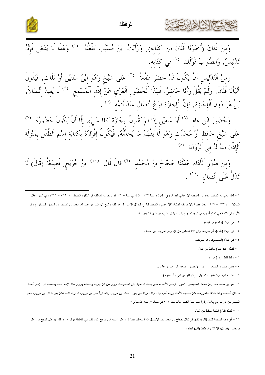![](_page_20_Picture_0.jpeg)

الموقظة

![](_page_20_Picture_2.jpeg)

وَمِنْ ذَلِكَ (أَخْبَرَنَا فُلَانٌ مِنْ كِتَابِهِ), وَرَأَيْتُ ابْنَ مُسَيَّبِ يَفْعَلُهُ  $\hspace{0.0cm}$  وَهَذَا لَا يَنْبَغِي فَإِنَّهُ تَدْليسٌّ, وَالصَّوَابُ قَوْلُكَ <sup>(٢)</sup> في كتَابه.

وَمِنْ اَلتَّدْلِيسِ أَنْ يَكُونَ قَدْ حَضَرَ طِفْلاً  $\,^{\text{\tiny (\text{T})}}$  عَلَى شَيْخٍ وَهُوَ إِبْنُ سَنَتَيْنِ أَوْ ثَلَاثِ, فَيَقُولُ أَنْبَأَنَا فُلَانٌ, وَلَمْ يَقُلْ وَأَنَا حَاضِرٌ, فَهَذَا اَلْحُضُورِ اَلْعُرْيِ عَنْ إِذْنِ اَلْمُسْمع ل<sup>ن</sup>َ لَا يُفِيدُ اتِّصَالاً, بَلْ هُوَ دُونَ اَلْإِجَازَةِ, فَإِنَّ اَلْإِجَازَةَ نَوْعُ اتِّصَالِ عِنْدَ أَئِمَّةٍ <sup>(٥</sup>) .

وَحُضُورُ اِبْنِ عَامٍ  $\left( \begin{array}{c} \cdot \cdot \cdot \cdot \end{array} \right)$ وْ عَامَيْنِ إِذَا لَمْ يَقْتَرِنْ بِإِجَازَةٍ كَلَا شَيْءِ, إِلَّا أَنْ يَكُونَ حُضُورُهُ  $\left( \begin{array}{c} \cdot \cdot \cdot \end{array} \right)$ عَلَى شَيْخٍ حَافِظٌ أَوْ مُحَدِّثٍ وَهُوَ لَا يَفْهَمُ مَا يُحَدِّثُهُ, فَيَكُونُ إِقْرَارُهُ بِكِتَابَةِ اِسْمِ اَلطِّفْلِ بِمَنْزِلَةِ<br>. . . اَلْإِذْنِ مِنْهُ لَهُ في اَلرِّوايَة <sup>(٨)</sup> .

وَمِنْ صُوَرِ اَلْأَدَاءِ حَدَّثَنَا حَجَّاجُ بْنُ مُحَمَّدٍ <sup>(٩)</sup> قَالَ قَالَ <sup>(١٠)</sup> ابْنُ جُرَيْجٍ, فَصِيَغَةُ (قَالَ) لَا تَدُلُّ عَلَى اتِّصَال (١١) .

١ – لعله يعني به الحافظ محمد بن المسيب الأرغياني النيسابوري، المولود سنة ٢١٢، والمتوفى الشرق المؤلف في "تذكرة الحفاظ " ٣: ٧٨٩ – ٧٩١، وفي "سير أعلام النبلاء" ١٤: ٤٢٢ – ٤٢٦، وحلاه فيهما بالأوصاف التالية: "الأرغياني: الحافظ البارع الجوَّال الإمام، الزاهد القدوة شيخ الإسلام، أبو عيبد الله محمد بن المسيب بن إسحاق النيسابوري، ثم الأرغياني الإسفنجي "، ثم أسهب في ترجمته. ولم يشر فيها إلى شيء من شأن التدليس عنده.

٢ - في "ب": (و الصو اب قوله).

٣ - في "ب": (طفل)، أي بالرفع، وفي "د": (حضر جزءا)، وهو تحريف عن: طفلا.

٤ - في "ب": (المستمع)، وهو تحريف.

ه – لفظ: (عند أئمة) ساقط من "ب".

٦ – سقط لفظ: (ابن) من "د".

٧ – يعني حضور الصغير من هو، لا حضور صغير ابن عام أو عامين.

٨ – هنا بحاشية "ب" مكتوب كما يلي: (لا يخلو من شيء أو سقوط).

۹ – هو أبو محمد حجاج بن محمد المصيصي الأعور، نرمذي الأصل، سكن بغداد ثم نحول إلى المصيصة، رويح وطبقته، وروى عنه الإمام أحمد وطبقته، قال الإمام أحمد: ما كان أضبطه وأشد تعاهده للحروف، كان صحيح الأخذ، ورفع أمره جدا، وقال مرة: كان يقول: حدثتا ابن هروا على الله جريج، ثم ترك ذلك، فكان يقول: قال ابن جريج، سمع التفسير من ابن جريج إملاءً، وقرأ عليه بقية الكتب، مات سنة ٢٠٦ في بغداد –رحمه الله تعالى–.

١٠ - لفظ: (قال) الثانية ساقط من "ب".

١١ – أي ذات الصيغة للفظ (قال)، لكنها في كلام حجاج بن محمد تفيد الاتصال إذا استعملها فيما قر أه على نجر عها تقدم في التعليقة برقم ٧، إذ القراءة على الشيخ من أعلى درجات الاتصال، إلا إذا أراد بلفظ (قال) التدليس.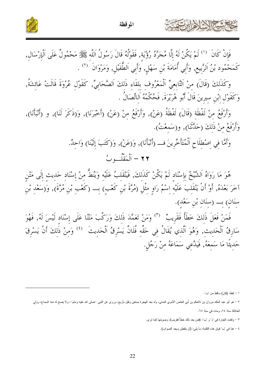![](_page_21_Picture_0.jpeg)

المو قظة

![](_page_21_Picture_2.jpeg)

وَكَذَلكَ (قَالَ) منْ اَلتَّابِعيِّ اَلْمَعْرُوف بلقَاء ذَلكَ اَلصَّحَابيِّ, كَقَوْل عُرْوَةَ قَالَتْ عَائشَةُ, وَكَقَوْل ابْنِ سيرينَ قَالَ أَبُو هُرَيْرَةَ, فَحُكْمُهُ اَلاتِّصَالُ .

وَأَرْفَعُ منْ لَفْظَة (قَالَ) لَفْظَةُ (عَنْ), وَأَرْفَعُ منْ (عَنْ) (أَخْبَرَنَا), وَ(ذَكَرَ لَنَا), و (أَنْبَأَنَا), وَأَرْفَعُ منْ ذَلكَ (حَدَّنَنَا), و(سَمعْتُ).

> وَأَمَّا في اصْطلَاح اَلْمُتَأَخِّرينَ فــ (أَنْبَأَنَا), وَ(عَنْ), وَ(كَتَبَ إِلَيْنَا) وَاحِدٌ. ٢٢ – ٱلْمَقْلُسوبُ

هُوَ مَا رَوَاهُ اَلشَّيْخُ بِإِسْنَادِ لَمْ يَكُنْ كَذَلِكَ, فَيَنْقَلِبُ عَلَيْهِ وَيَنُطُّ مِنْ إِسْنَادِ حَدِيث إِلَى مَتْنِ آخَرَ بَعْدَهُ, أَوْ أَنْ يَنْقَلِبَ عَلَيْهِ اِسْمُ رَاوٍ مِثْلِ (مُرَّةَ بْنِ كَعْبٍ) بِـــ (كَعْبِ بْنِ مُرَّةَ), وَ(سَعْدِ بْنِ 

فَمَنْ فَعَلَ ذَلِكَ خَطَأً فَقَرِيبٌ ۚ (٣) وَمَنْ تَعَمَّدَ ذَلِكَ وَرَكَّبَ مَتْنَا عَلَى إِسْنَادِ لَيْسَ لَهُ, فَهُوَ سَارِقُ اَلْحَدِيثِ ۚ وَهُوَ اَلَّذِي ۡيُقَالُ فِي حَقِّهِ فُلَانٌ يَسْرِقُ اَلْحَدِيثَ ۚ <sup>(٤)</sup> وَمِنْ ذَٰلِكَ أَنْ يَسْرِقَ حَديثًا مَا سَمعَهُ, فَيَلَّعي سَمَاعَهُ منْ رَجُل.

١ - لفظ: (كان) ساقط من "ب".

NXKLXX

٣ - وقعت العبارة في "د" و "ب": (فمن يعد ذلك خطأً فقريب)، وصوبتها كما نرى.

٢ – هو أبو عبد الملك مروان بن ذالحكم بن أبي العاص الأموي المدني، ولد بعد الهجرة بسنتين وقيل بأربع، وردى عن النبي –صلى الله عليه وسلم–، ولا يصح له منه السماع، وولِيَ الخلافة سنة ٢٤، ومات في سنة ٦٥.

٤ – هنا في "ب" فوق هذه الكلمة، ما يلي: (أن يتفطن ويجد الصواب).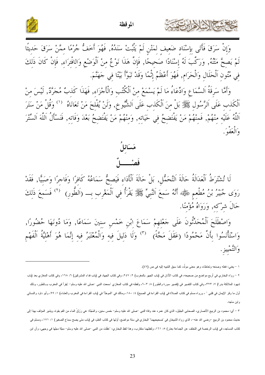![](_page_22_Picture_0.jpeg)

![](_page_22_Picture_2.jpeg)

وَأَمَّا سَرِقَةُ اَلسَّمَاعِ وَادِّعَاءُ مَا لَمْ يَسْمَعْ مِنْ اَلْكُتُبِ وَالْأَجْزَاءِ, فَهَذَا كَذبْ مُجَرَّدٌ, لَيْسَ مِنْ ٱلْكَذِبِ عَلَى اَلرَّسُولِ ﷺ بَلْ مِنَ اَلْكَذِبِ عَلَى اَلشُّيوخِ, وَلَنْ يُفْلِحَ مَنْ تَعَانَاهُ ۚ (') وَقُلْ مَنْ سَتَرَ اَللَّهُ عَلَيْهِ مِنْهُمْ, فَمِنْهُمْ مَنْ يَفْتَضِحُ فِي حَيَاتِهِ, وَمِنْهُمْ مَنْ يَفْتَضِحُ بَعْدَ وَفَاتِهِ, فَنَسْأَلُ اَللَّهَ اَلسِّتْرَ وَالْعَفْوَ.

![](_page_22_Picture_4.jpeg)

لَا تُشْتَرَطُ اَلْعَدَالَةُ حَالَةَ اَلتَّحَمُّلِ, بَلْ حَالَةَ اَلْأَدَاءِ فَيَصحُّ سَمَاعُهُ كَافرًا وَفَاجرًا وَصَبَيًّا, فَقَدْ<br>رَوَى جُبَيْرُ بْنُ مُطْعمٍ ﷺ أَنَّهُ سَمِعَ اَلنَّبِيِّ ﷺ يَقْرَأُ فِي اَلْمَغْرِبِ بِـ حَالَ شرْكه, وَرَوَاهُ مُؤْمنًا.

وَاصْطَلَحَ اَلْمُحَدِّثُونَ عَلَى حَعْلهِمْ سَمَاعَ ابْنِ خَمْسِ سنينَ سَمَاعًا, وَمَا دُونَهَا حُضُورًا,<br>وَاسْتَأْنَسُوا بِأَنَّ مَحْمُودًا (عَقَلَ مَحَّةً) <sup>(٣)</sup> وَلَا دَلِيلَ فِيهِ وَالْمُعْتَبَرُ فِيهِ إِنَّمَا هُو وَالتَّمْييزِ.

١ – يعني: فعله وصنعه وتعاطاه، وهو معنى مولَّد، كما سبق التنبيه إليه في ص (٤٧).

كالحشيج الشاهاير

٢ – رواه البخاري في أربع مواضع من صحيحه، في كتاب الأذان في (باب الجهر بالمغرب) ٢: ٢٤٧، وفي كتاب الجهاد في (باب فداء المشركين) ٦: ١٦٨، وفي كتاب المغازي بعد (باب شهود الملائكة بدرا) ٧: ٣٢٣، وفي كتاب التفسير في (نفسير سورة والطور) ٨: ٦٠٣، ولفظه في كتاب المغازي "سمعت النبي "صلى الله عليه وسلم" "يقرأ في المغرب بـــالطور، وذلك أول ما وقر الإيمان في قلبي " ، ورواه مسلم في كتاب الصلاة في (باب القراءة في الصبح) ٤: ١٨٠، ومالك في "الموطأ" في العثرب والعلما عليه المغرب والعشاء) ١: ٩٩، وأبو داود والنسائي وابن ماجه.

٣ – أي: محمود بن الربيع الأنصاري، الصحابي الجليل، الذي كان عمره عند وفاة النبي –صلى الله عليه وسلم– خمس سنين، والمَجَّة: هي رَزْقُ الماء من الفم بقوة، ويشير المؤلف بهذا إلى حديث محمود بن الربيع –رضي الله عنه–، الذي رواه الشيخان في "صحيحيهما" البخاري في ستة مواضع، أولها في كتاب العلم، في (باب متى يصح سماع الصغير) ١: ١٧١، ومسلم في كتاب المساجد، في (باب الرخصة في التخلف عن الجماعة بعذر ) ٥: ١٦١، ولفظهما متقارب، وهذا لفظ البخاري: "عقّلت من النبي –صلى الله عليه وسلم– مجَّة مجّها في وجهي، وأن ابن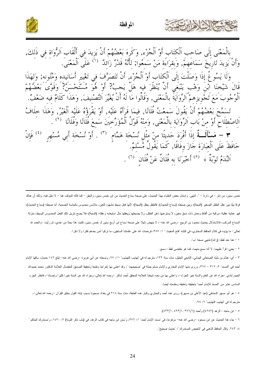![](_page_23_Picture_0.jpeg)

![](_page_23_Picture_1.jpeg)

بِالْمَعْنَى إِلَى صَاحب الْكتَاب أَوْ الْجُزْءِ, وَكَرهَ بَعْضُهُمْ أَنْ يَزِيدَ فِي أَلْقَاب اَلرُّوَاة فِي ذَلكَ, وَأَنْ يَزِيدَ تَارِيَخَ سَمَاعَهِمْ, وَبَقرَاءَة مَنْ سَمَعُوا; لأَنَّهُ قَدْرٌ زَائِدٌ  $^{(1)}$  عَلَى الْمَعْنَىَ. وَلَا يَسُوغُ إذَا وَصَلْتَ إِلَى الْكتَابِ أَوْ اَلْجُزْءِ, أَنْ تَتَصَرَّفَ في تَغْيير أَسَانيده وَمُتُونه; وَلهَذَا قَالَ شَيْخِنَا إِبْنَ وَهْبِ يَنْبَغَي أَنْ يُنْظُرَ فيه هَلْ يَجبُ? أَوْ هُوَ مُسْتَحْسَنٌ؟ وَقَوَّىَ بَعْضُهُمْ ٱلْوُجُوبَ مَعَ تَجْويزهمْ ٱلرِّوَايَةَ بِالْمَعْنَى, وَقَالُوا مَا لَهُ أَنْ يُغَيِّرَ التَّصْنيفَ, وَهَذَا كَلَامٌ فيه ضَعْفٌ. تَسَمَّحَ بَعْضُهُمْ أَنْ يَقُولَ سَمعْتُ فُلَانًا, فيمَا قَرَأَهُ عَلَيْه, أَوْ يَقْرَؤُهُ عَلَيْه اَلْغَيْرُ, وَهَذَا حلَافُ اَلاصْطلَاح أَوْ منْ بَاب اَلرِّوايَة بِالْمَعْنَى, وَمنْهُ قَوْلُ اَلْمُؤَرِّخيَنَ سَمعَ فُلَانًا وَفُلَانًا ل  $\stackrel{\circ}{\bullet}$  = مَسْأَلَــةٌ إِذَا أَفْرَدَ حَديثًا منْ مِثْلِ نُسْخَةٍ هَمَّامٍ  $\stackrel{\circ}{\circ}$  ) أَوْ نُسْخَةٍ أَبِي مُسْهِرٍ  $\stackrel{\circ}{\circ}$  فَإِنْ حَافَظَ عَلَى اَلْعَبَارَة جَازَ وفَاقًا, كَمَا يَقُولُ مُسْلَمٌ. اَلنَّدَمُ تَوْبَةٌ ﴾ <sup>(٥)</sup> أَخْبَرَنَا به فُلَانٌ عَنْ فُلَان <sup>(٦)</sup> .

خمس سنين، من دلو – في دارنا – ". انتهى. واستنل بعض العلماء بهذا الحديث، على اصحديث من اس نعمس سنين، والحق – كما قاله المؤلف هنا – لا دليل فيه، وذلك أن هناك فرقا بيِّنا بين عقل الطفل الصغير (المجة)، وبين ضبطه (سماع الحديث)، فالطفل يعقل (المجة)؛ لأنها فمشهود للعين، ملامس محسوس بالحاسة الجسمية، أما ضبطه (سماع الحديث)، فهو عملية عقلية، مركبة من ألفاظ ومعان ذات نسق معين، لا يستوعبها ذهن الطفل، ولا يضبطها وبعلها وسلم الله على الله على المسلم الله الفعل المحسوس البسيط، منزلة السماع المركب، فالاستدلال بحديث محمود بن الربيع –رضي الله عنه–، لا ينهض دليلا على صحة سماع ابن أربع سنين أو خمس سنين، كتبت هذا بحثا من عندي، ثم رأيت –والحمد لله تعالى– ما يؤيده في كلام الحافظ السخاوي، في كتابه "فتح المغيث " ١: ٣٨٧، فرحمات الله على علمائنا السابقين، ما نزكوا لمن بعدهم فكرا ولا ذكرا.

١ – هنا عند لفظ: (زائد) تتنهى نسخة "ب".

٢ – يعني: قرأ عليهما، لا أنه سمع منهما، كما هو مقتضى لفظ : سمع.

٣ – أي: همَّام بن مُنبَّه الصنعاني اليماني، التابعي الجليل، مات سنة ١٣٢، مترجم له في "تهذيب" ١٤١، ونسخته عن أبي هريرة –رضي الله عنه– تبلغ ١٤٢ حديث، ساقها الإمام أحمد في "المسند" ٢: ٣١٢ – ٣٦٧، وروى منها الإمام البخاري والإمام مسلم جملة في "صحيحهما "، وقد اعتنى بها إخراجا وطبعا وتحقيقا الصديق المفضال العلامة النكتور محمد حميدالله الحيدرآبادي –جزاه الله عن العلم والسنة خير الجزاء–، واعتنى بها من بعده شيخنا العلامة الصحائد الحداري وجزاه الله عن السنة خيرا كثيرا وإحسانا–، فانظر الجزء السادس عشر من "المسند للإمام أحمد" بتحقيقه وتعليقه ومقدمته أيضا.

٤ – هو أبو مسهر الدمشقي (عبد الأعلى بن مسهر)، روى عنه أحمد والبخاري وكبار هذه الطبقة، مات سنة ٢١٨ في بغداد مسجونا بسبب إبائه القول بخلق القرآن –رحمه الله تعالى–، مترجم له في "تهذيب التهذيب" ٦: ٩٨.

٥ – لبن ماجه : الزهد (٤٢٥٢) وأحمد (٢٧٦/١, ٤٢٣/١, ٤٣٣/١).

٦ – جاء هذا الحديث عن ابن مسعود –رضي الله عنه– مرفوعا، في "مسند الإمام أحمد" ١: ٣٧٦، و"سنن ابن ماجه في كتاب الزهد، في (باب ذكر التوبة) ٢: ١٤٢٠، و"مستدرك الحاكم " ٤: ٢٤٣. وقال الحافظ الذهبي في "تلخيص المستدرك ": "حديث صحيح".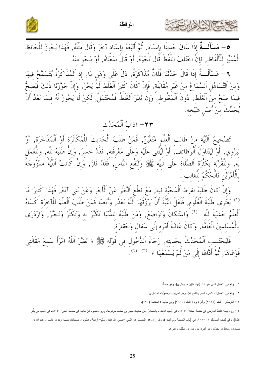![](_page_24_Picture_0.jpeg)

![](_page_24_Picture_1.jpeg)

SPNRw22

**٥**– مَسْأَلَــةٌ إذَا سَاقَ حَديثًا بإسْنَاد, ثُمَّ أَتْبَعَهُ بإسْنَاد آخَرَ وَقَالَ مثْلَهُ, فَهَذَا يَجُوزُ للْحَافظ الْمُمَيِّز للْأَلْفَاظ, فَإِنَّ اخْتَلَفَ اَللَّفْظُ قَالَ نَحْوَهُ, أَوْ قَالَ بمَعْنَاهُ, أَوْ بنَحْو منْهُ.

٦ – مَسْأَلَــةٌ إذَا قَالَ حَدَّثَنَا فُلَانٌ مُذَاكَرَةً, دَلَّ عَلَى وَهَن مَا, إذ اَلْمُذَاكَرَةُ يُتَسَمَّحُ فيهَا وَمنْ اَلتَّسَاهُل اَلسَّمَاعُ منْ غَيْرِ مُقَابَلَة, فَإِنْ كَانَ كَثيرَ اَلْغَلَطِ لَمْ يَجُزْ, وَإِنْ جَوَّزْنَا ذَلِكَ فَيَصِحُّ فِيمَا صَحَّ مِنَ الْغَلَطِ, دُونَ اَلْمَغْلُوطِ, وَإِنَّ نَدَرَ اَلْغَلَطُ فَمُحْتَمَلٌ, لَكِنْ لَا يَجُوزُ لَهُ فِيمَا بَعْدُ أَنْ يُحَدِّثَ مِنْ أَصْلِ شَيْخِه.

### ٢٣ - آدَابُ اَلْمُحَدِّث

تَصْحِيحُ اَلنَّيَّة منْ طَالبِ اَلْعِلْمِ مُتَعَيِّنٌ, فَمَنْ طَلَبَ اَلْحَديثَ لِلْمُكَاثَرَة أَوْ اَلْمُفَاخَرَة, أَوْ<br>ليَرْوِيَ, أَوْ ليَتَنَاوَلَ اَلْوَظَائِفَ, أَوْ لَيُثْنَى عَلَيْهِ وَعَلَى مَعْرِفَته, فَقَلْا خَس بِالْأَمْرَيْنِ فَالْحُكْمُ لِلْغَالبِ .

وَإِنْ كَانَ طَلَبَهُ لفَرْط اَلْمَحَبَّة فيه, مَعَ قَطْعِ اَلنَّظَرِ عَنْ اَلْأَجْرِ وَعَنْ بَنِي آدَمَ, فَهَذَا كَثيرًا مَا<br><sup>(١)</sup> يَعْتَرِي طَلَبَةَ اَلْعُلُومِ, فَلَعَلَّ اَلنَّيَّةَ أَنْ يَرْزُقَهَا اَللَّهُ بَعْدُ, و اَلْعِلْمُ خَشْيَةً للَّه ۚ (٢) وَاسْتَكَانَ وَتَوَاضَعَ, وَمَنْ طَلَبَهُ لِلدُّنْيَا تَكَبَّرَ به وَتَكَثَّرَ وَتَجَبَّرَ, وَازْدَرَى بِالْمُسْلمينَ اَلْعَامَّة, وَكَانَ عَاقبَةُ أَمْرِه إلَى سَفَالٍ وَحَقَارَة.

فَلْيَحْتَسِبِ اَلْمُحَدِّثْ بِحَدِيثِهِ, رَجَاءَ اَللُّخُولِ فِي قَوْلِهِ ﷺ ﴿ نَضَّرَ اَللَّهُ امْرَأَ سَمِعَ مَقَالَتِي فَوَعَاهَا, ثُمَّ أَدَّاهَا إِلَى مَنْ لَمْ يَسْمَعْهَا ﴾  $^{(7)}$  (<sup>٤)</sup>.

١ – وقع في الأصل الذي هو "د": (فهذا كثير ما يعتري). وهو خطأ.

٢ – وقع في الأصل: (كسره العلم وخشع لله)، وهو نحريف، وصوَّبته كما نرى.

٣ – النترمذي : العلم (٢٦٥٦) وأبو داود : العلم (٣٦٦٠) وابن ماجه : المقدمة (٢٣٠).

٤ – رواه بهذا اللفظ الدارمي في مقدمة "سننه" ١: ٦٥، في (باب الاقتداء بالعلماء)، من حديث جبير بن مطعه مرفوعا، ورواه بنحوه ابن ملجه في مقدمة "سنن" ١: ٨٥، في (باب من بلَّغ علما)، وفي كتاب المناسك ٢: ١٠١٥، في (باب الخطبة يوم النحر)، وقد روى هذا الحديث عن النبي –صلى الله عليه وسلم– أربعة وعشرون صحابيا، منهم: زيد بن ثابت، وعبد الله بن مسعود، ومعاذ بن جبل، وأبو الدرداء، وأنس بن مالك، وغير هم.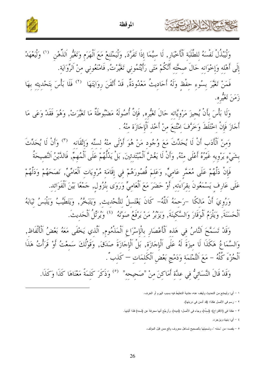![](_page_25_Picture_0.jpeg)

المو قظة

![](_page_25_Picture_2.jpeg)

إلَى أَهْله وَإخْوَانه حَالَ صحَّته أَنَّكُمْ مَتَى رَأَيْتُمُوني تَغَيَّرْتُ, فَامْنَعُوني منْ اَلرِّوَايَة. فَمَنْ تَغَيَّرَ بِسُوءِ حفْظ وَلَهُ أَحَاديتُ مَعْدُودَةٌ, قَدْ أَتْقَنَ روايَتَهَا  $^{(7)}$  فَلَا بَأْسَ بتَحْديثه بهَا

زَمَنَ تَغَيْرِه.

وَلَا بَأْسَ بِأَنْ يُجِيزَ مَرْوِيَّاتِه حَالَ تَغَيُّرِه, فَإِنَّ أُصُولَهُ مَضْبُوطَةٌ مَا تَغَيَّرَتْ, وَهُوَ فَقَدْ وَعَى مَا أَجَازَ فَإِنْ اخْتَلَطَ وَخَرَّفَ امْتُنعَ منْ أَخْذ اَلْإجَازَة منْهُ .

وَمنْ اَلْأَدَبِ أَنْ لَا يُحَدِّثَ مَعَ وُجُودٍ مَنْ هُوَ أَوْلَى منْهُ لسنِّه وَإِتْقَانِه ۚ (°) وَأَنْ لَا يُحَدِّثَ بِشَيْءٍ يَرْوِيهِ غَيْرُهُ أَعْلَى مِنْهُ, وَأَنْ لَا يَغُشَّ اَلْمُبْتَدئينَ, بَلْ يَدُلُّهُمْ عَلَى اَلْمُهِمّ, فَالدَّيْنُ النَّصيحَةُ

فَإِنْ دَلَّهُمْ عَلَى مُعَمَّر عَاميٍّ, وَعَلمَ قُصُورَهُمْ في إقَامَة مُرْويَات اَلْعَامِّيٍّ, نَصَحَهُمْ وَدَلَّهُمْ عَلَى عَارف يَسْمَعُونَ بقرَاءَته, أَوْ حَضَرَ مَعَ اَلْعَاميٌّ وَرَوَى بْنُزُول, جَمْعًا بَيْنَ اَلْفَوَائد.

وَرُوِيَ أَنَّ مَالكًا –رَحمَهُ اَللَّهُ– كَانَ يَغْتَسلُ للتَّحْديثِ, وَيَتَبَحَّرُ, وَيَتَطَيَّبُ وَيَلْبَسُ ثيَابَهُ ٱلْحَسَنَةَ, وَيَلْزَمُ ٱلْوَقَارَ وَالسَّكِينَةَ, وَيَزِبْرُ مَنْ يَرْفَعُ صَوْتَهُ ۚ `` وَيُرَتَّلُ ٱلْحَديثَ.

وَقَدْ تَسَمَّحَ اَلنَّاسُ في هَذه اَلْأَعْصَارِ بِالْإِسْرَاعِ اَلْمَذْمُومِ, اَلَّذي يَخْفَى مَعَهُ بَعْضُ اَلْأَلْفَاظ, وَالسَّمَاعُ هَكَذَا لَا ميزَةَ لَهُ عَلَى اَلْإِجَازَة, بَلْ اَلْإِجَازَةَ صَدَقَ, وَقَوْلُكَ سَمِعْتُ أَوْ قَرَأْتُ هَذَا اَلْجُزْءَ كُلَّهُ – مَعَ اَلتَّمْتَمَة وَدَمْج بَعْض اَلْكَلمَات — كَذبٌ".

وَقَدْ قَالَ النَّسَائِيُّ في عدَّة أَمَاكنَ منْ "صَحيحه" (°) وَذَكَرَ كَلمَةً مَعْنَاهَا كَذَا وَكَذَا.

١ – أي: وليمتنع من التحديث وليقف عنه، خشية التخليط فيه بسبب الـهرم أو الـخرف.

٢ – رسم في الأصل هكذا: (قد أدمن في دربتها).

 $|\mathcal{S}|$ 

- ٣ هكذا فـى (الاقتراح): (لسنَّه)، وجاء فـي الأصل: (لدينه). وأرجَّح أنـها محرفة عن (لسنه) فلذا أثبتها.
	- ٤ أي: بنهاه ويزجر ه.
	- ٥ يقصد: من "سننه "، وتسميتها بالصحيح تساهل معروف وقع ممن قبل المؤلف.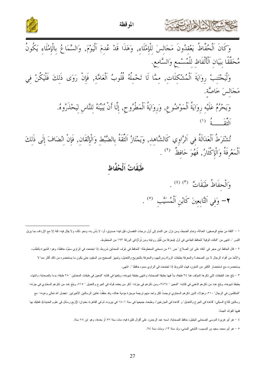![](_page_26_Picture_0.jpeg)

![](_page_26_Picture_2.jpeg)

وَكَانَ اَلْحُفَّاظُ يَعْقدُونَ مَجَالِسَ لِلْإِمْلَاءِ, وَهَذَا قَدْ عُدِمَ اَلْيَوْمَ, وَالسَّمَاعُ بِالْإِمْلَاءِ يَكُونُ<br>مُحَقَّقًا بِبَيَانِ اَلْأَلْفَاظِ لِلْمُسْمِعِ وَالسَّامِعِ. وَلْيَحْتَنِبْ رِوَايَةَ اَلْمُشْكِلَاتِ, مِمَّا لَا تَحْمِلُهُ قُلُوبُ اَلْعَامَّة, فَإِنْ رَوَى ذَلِكَ فَلْيَكُنْ فِي مَجَالِسَ خَاصَّة. وَيَحْرُمُ عَلَيْهِ رِوَايَةُ اَلْمَوْضُوعِ, وَرِوَايَةُ اَلْمَطْرُوحِ, إِلَّا أَنْ يُبَيِّنَهُ لِلنَّاسِ لِيَحْذَرُوهُ. ر بور<br>|اءة

تُشْتَرَطُ اَلْعَدَالَةُ فِي اَلرَّاوِي كَالشَّاهِد, وَيَمْتَازُ اَلثَّقَةُ بِالضَّبْطِ وَالْإِثْقَانِ, فَإِنْ انْضَافَ إِلَى ذَلِكَ<br>اَلْمَعْرِفَةُ وَالْإِكْتَارُ, فَهُوَ حَافِظٌ (٢)

# طَبَقَاتُ اَلْحُفَّاظِ

وَالْحِفَاظُ طَبَقَاتٌ (٣) (٤). **٢**– وَفِي اَلتَّابِعِينَ كَابْنِ اَلْمُسَيَّبِ <sup>(٥</sup>) .

١ – "لثقة من جَمَع الوصفين: العدالة، وتمام الضبط، ومن نزل عن التمام إلى أول درجات النقصان، قيل فيه: ونحو ذلك، ولا يقال الله ع الإرداف بما يزيل اللبس ". انتهى من "النكت الوفية" للحافظ البقاعي في أول (معرفة من نُقُبل روايته ومن تُرَدُّ) في الورقة ١٩٣ من المخطوط.

٢ – قال الحافظ ابن حجر في "نكته على ابن الصلاح " ص ٢١ من نسختي المخطوطة: "للحافظ في عُرْف المحدثين شروط، إذا اجتمعت في الراوي سمَّوْ، حافظا، وهو: الشهرة بالطلب، والأخذ من أفواه الرجال لا من الصحف! والمعرفة بطبقات الرواة ومراتبهم، والمعرفة بالتجريح والتعديل، وتمييز الصحيح من السقيم، حتى يكون ما يستحضره من ذلك أكثر مما لا يستحضره، مع استحضار الكثير من المتون، فهذه الشروط إذا اجتمعت في الراوي سموه حافظا ". انتهى.

٣ – بلغ عدد الطبقات التي ذكرها المؤلف هنا ٢٤ طبقة، بدأ فيها بطبقة الصحابة، وانتهى بطبقها في ي في التح علم عليقات المحدثين " ٢٨ طبقة، بدءا بالصحابة، وانتهاء بطبقة شيوخه، وبلغ عدد من ذكرهم الذهبي في كتابه: "المعين " ٢٤٢٤، ومن ذكرهم في جزئه: "ذكر من يعتمد فوله في الجرح والتعديل " ٧١٥، وبلغ عدد من ذكرهم السخاوي في جزئه: "المتكلمون في الرجال" ٢١٠، وهؤلاء الذين ذكرهم السخاوي ترجمتُ لكل ولحد منهم ترجمة موجزة مؤدية هناك، وقد حققَتُ هاتين الرسالتين الأخيرتين -بفضل الله تعالى وعونه- مع رسالتين للتاج السبكي: "قاعدة في الجرح والتعديل" و "قاعدة في المؤرخين"، وطبعت جميعها في سنة ١٤٠١ في القاهر ته بعنوان: (أربع رسائل في علوم الحديث)، فعليك بها ففيها الفوائد الجمة.

٤ – هو أبو هريرة الدوسي الصحابي الجليل، حافظ الصحابة، اسمه عبد الرحمن، على أقوال كثيرة فيه، مات سنة ٥٧ أو بعدها، وهو ابن ٧٨ سنة.

٥ – هو أبو محمد سعيد بن المسيب، النابعي المدني، ولد سنة ١٣، ومات سنة ٩٤.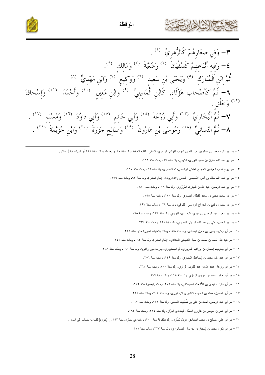![](_page_27_Picture_0.jpeg)

المو قظة

![](_page_27_Picture_2.jpeg)

- **٣** وَفي صِغَارِهُمْ كَالزُّهْرِيٍّ <sup>(١)</sup> .  $\epsilon^{(2)}$ ) - وَفيه أَتْبَاعهمْ كَسُفْيَانَ (٢) وَشُعْبَةَ (٣) وَمَالك (٤). تُمَّ إِبْنِ اَلْمُبَارَكِ <sup>(٥)</sup> وَيَحْيَى بْنِ سَعِيدِ <sup>(٦)</sup> وَوَكِيعِ <sup>(٧)</sup> وَابْنِ مَهْدِيٌّ <sup>(٨)</sup> . **٦** – ثُمَّ كَأَصْحَاب هَؤُلَاءِ, كَابْنِ اَلْمَدِينِيِّ <sup>(٩)</sup> وَابْنِ مَعِينٍ <sup>(١٠)</sup> وَأَحْمَدَ <sup>(١١)</sup> وَإِسْحَاقَ <sup>(۱۲)</sup> وَخَلْق . ٧– ثُمَّ اَلْبُخَارِيِّ ۞ " وَأَبِي زُرْعَةَ ۞ وَأَبِي حَاتِم ۞ وأَبِي دَاوُدَ ۞ وَمُسْلِم ۞ " . ٨– ثُمَّ النَّسائِيِّ (١٨) وَمُوسَى بْنِ هَارُونَ (١٩) وَصَالِحٍ جَزَرَةَ (٢٠) وَابْنِ خُزَيْمَةَ (٢١) .
	- ١ هو أبو بكر، محمد بن مسلم بن عبيد الله بن شهاب القرشي الزهري، المدني، الفقيه الحافظ، ولد سنة ٥٠ أو بعدها، ومات سنة ١٢٥ أو قبلها بسنة أو سنتين.
		- ٢ هو أبو عبد الله، سفيان بن سعيد الثوري، الكوفي، ولد سنة ٩٧، ومات سنة ١٦١.
		- ٣ هو أبو بسُطام، شعبة بن الحجاج العَنَكي الواسطي، ثم البصري، ولد سنة ٨٢، ومات سنة ١٦٠.
		- ٤ هو أبو عبد الله، مالك بن أنس الأصبحي، المدنى ولادة ووفاة، الإمام المتبوع، ولد سنة ٩٣، ومات سنة ١٧٩.
			- ٥ هو أبو عبد الرحمن، عبد الله بن المبارك المَرْوَزي، ولد سنة ١١٨، ومات سنة ١٨١.
				- ٦ هو أبو سعيد، يحيى بن سعيد القطان البصري، ولد سنة ١٢٠، ومات سنة ١٩٨.
			- ٧ هو أبو سفيان، وكيع بن الجراح الرؤاسي، الكوفي، ولد سنة ١٢٩، ومات سنة ١٩٧.
			- ٨ هو أبو سعيد، عبد الرحمن بن مهدي، البصري، اللؤلؤي، ولد سنة ١٣٥، ومات سنة ١٩٨.
				- ٩ هو أبو الحسن، علي بن عبد الله، المديني البصر ي، ولد سنة ١٦١، ومات سنة ٢٣٤.
			- ١٠ هو أبو زكريا، يحيى بن معين البغدادي، ولد سنة ١٥٨، ومات بالمدينة المنورة حاجا سنة ٢٣٣.
		- ١١ هو عبد الله، أحمد بن محمد بن حنبل الشيباني البغدادي، الإمام المتبوع، ولد سنة ١٦٤، ومات سنة ٢٤١.
		- ١٢ هو أبو يعقوب، إسحاق بن اپراهيم المروزي، ثم النيسابوري، يعرف بابن راهويه، ولد سنة ١٦١، وملت سنة ٢٣٨.
			- ١٣ هو أبو عبد الله، محمد بن إسماعيل البخاري، ولد سنة ١٤٩، ومات سنة ٢٥٦.
			- ١٤ هو أبو زرعة، عبيد الله بن عبد الكريم، الرازي، ولد سنة ٢٠٠، ومات سنة ٢٦٤.
				- ١٥ هو أبو حاتم، محمد بن إدريس الرازي، ولد سنة ١٩٥، ومات سنة ٢٧٧.
			- ١٦ هو أبو داود، سليمان بن الأشعث السجستاني، ولد سنة ٢٠٢، ومات بالبصرة سنة ٢٧٥.
			- ١٧ هو أبو الحسين، مسلم بن الحجاج القشيري النيسابوري، ولد سنة ٢٠٤، ومات سنة ٢٦١.
			- ١٨ هو أبو عبد الرحمن، أحمد بن علي بن شُعَيب، النسائي، ولد سنة ٢٥١، ومات سنة ٣٠٣.
			- ١٩ هو أبو عمران، موسى بن هارون الحمَّال البغدادي البزَّاز، ولد سنة ٢١٤، ومات سنة ٢٩٤.
		- .<br>٢٠ هو أبو علي، صالح بن محمد البغدادي، نزيل بُخَار ي، ولد بالكوفة سنة ٢٠٥، ومات في بخار ي سنة ٢٩٣، و (جزر ة) لقب له يضاف إلى اسمه .
			- ٢١ هو أبو بكر، محمد بن إسحاق بن خزيمة، النيسابوري، ولد سنة ٢٢٣، ومات سنة ٣١١.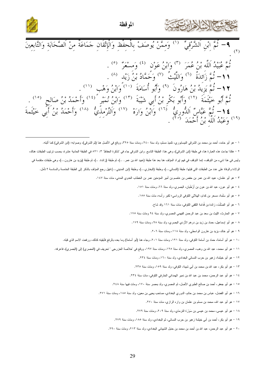![](_page_28_Picture_0.jpeg)

![](_page_28_Picture_2.jpeg)

|  | 4 – ثُمَّ إِبْنِ اَلشَّرْقِيُّ ۚ <sup>(١)</sup> وَمِمَّنْ يُوصَفْ بِالْحِفْظِ وَالْإِتْقَانِ جَمَاعَةً مِنْ اَلصَّحَابَةِ وَالتَّابِعِينَ<br>(٢)                                                                                                                                                        |                                                                                     |  |  |
|--|---------------------------------------------------------------------------------------------------------------------------------------------------------------------------------------------------------------------------------------------------------------------------------------------------------|-------------------------------------------------------------------------------------|--|--|
|  |                                                                                                                                                                                                                                                                                                         | نُمَّ عُبَيْدُ اَللَّه بْنُ عُمَرَ (٣) وَابْنُ عَوْن (٤) وَمسْعَرٌ (٥).             |  |  |
|  |                                                                                                                                                                                                                                                                                                         | 1 1 – ثُمَّ زَائدَةُ $^{(7)}$ وَاللَّيْتُ $^{(9)}$ وَحَمَّادُ بْنُ زَيْد $^{(4)}$ . |  |  |
|  | ١٢- ثُمَّ يَزِيدُ بْنُ هَارُونَ ۚ (٩) وَأَبُو أُسَامَةَ ۚ (١٠) وَابْنُ وَهْب ۚ (١١) .                                                                                                                                                                                                                   |                                                                                     |  |  |
|  |                                                                                                                                                                                                                                                                                                         |                                                                                     |  |  |
|  | ثُمَّ أَبُو خَيْثَمَةَ <sup>(١٢)</sup> وَأَبُو بَكْرِ بْنُ أَبِي شَيْبَةَ <sup>(١٢)</sup> وَابْنُ نُمَيْر <sup>ً (١٤)</sup> وَأَحْمَدُ بْنُ صَالحٍ <sup>(١٥)</sup> .<br>1 <b>٤ –</b> ثُمَّ عَبَّاسٌ اَللُّورِيُّ <sup>(١٦)</sup> وَابْنُ وَارَهْ <sup>(١٧)</sup> وَاَلتِّرْمِذِيٌّ <sup>(١٨)</sup> وَأَ |                                                                                     |  |  |

١ – هو أبو حامد، أحمد بن محمد بن الشرقي النيسابوري، نلميذ مسلم، ولد سنة ٢٤٠، ومات سنة ٢٢٥، ووقع في الأصل هنا (ثم الشرقي)، وصوابه: (ابن الشرقي) كما أثبته. ٢ – هكذا جاءت هذه العبارة هنا، في طبقة (ابن الشرقي)، وهي هنا: الطبقة الناسع. وابن الشرقي جاء في "تذكرة الحفاظ" ٣: ٨٢١ في الطبقة الحادية عشرة، بحسب نرتيب الطبقات هناك، وليس في هذا شيء من التوقف إنما التوقف في فهم إيراد المولف هنا بعد هذا طبقة (وسلام الله عنه أن الذذ. ..)، ثم طبقة (يزيد بن هارون...)، وهي طبقات متقدمة في الولادة والوفاة على عدد من الطبقات التي قبلها: طبقة (النسائي...)، وطبقة (ابن العدي التاسين...) فهل رجع المؤلف بالذكر إلى الطبقة الخامسة والسادسة ؟ تأمل. ٣ - هو أبو عثمان، عبيد الله بن عمر بن حفص بن عاصم بن أمير المؤمنين عمر بن الخطاب العدوي المدنى، مات سنة ١٤٧.

- ٤ هو أبو عون، عبد الله بن عون بن أرْطَبَان، البصري، ولد سنة ٦٦، ومات سنة ١٥١.
- ٥ هو أبو سَلَّمة، مسعر بن كدام، الـهلالـي الكوفـي الرواسـي؛ لكبر رأسه، مات سنة ١٥٥.
	- ٦ هو أبو الصَّلْت، زائدة بن قُدامة الثَّقفي الكوفي، مات سنة ١٦١ وقد شاخ.
- ٧ هو الحارث، اللَّيث بن سعد بن عبد الرحمن الفهمي المصري، ولد سنة ٩٤ ومات سنة ١٧٥.
- ٨ هو أبو إسماعيل، حماد بن زيد بن در هم الأز دي البصر ي، ولد سنة ٩٨، ومات سنة ١٧٩.
	- ۹ هو أبو خالد، بزيد بن هارون الواسطي، ولد سنة ١١٨، ومات سنة ٢٠٦.
- .<br>١٠ هو أبو أسامة، حماد بن أسامة الكوفي، ولد سنة ١٢١، ومات سنة ٢٠١، وجاء هنا (أبو أسامة) وما بعده بالرفع فأبقيته كذلك، ورفعت الاسم الذي قبله.
- ١١ هو أبو محمد، عبد الله بن وهب، المصري، ولد سنة ١٢٥، ومات سنة ١٩٧، ووقع في "خلاصة الخزرجي " تحريف في (المصري) إلى (البصري)، فاعرفه.
	- ١٢ هو أبو خيثمة، زهير بن حرب النسائي البغدادي، ولد سنة ١٦٠، ومات سنة ٢٣٤.
	- ١٣ هو أبو بكر، عبد الله بن محمد بن أبي شيبة، الكوفي، ولد سنة ١٥٩، ومات سنة ٢٣٥.
	- ١٤ هو أبو عبد الرحمن، محمد بن عبد الله بن نمير الهمداني الخارفي الكوفي، مات سنة ٢٣٤.
	- ١٥ هو أبو جعفر، أحمد بن صالح الطبري الأصل، ثم المصري، ولد بمصر سنة ١٧٠، ومات فيها سنة ٢٤٨.
	- ١٦ هو أبو الفضل، عباس بن محمد بن حاتم، الدوري البغدادي، صاحب يحيى بن معين، ولد سنة ١٨٥، ومات سنة ٢٧١.
		- ١٧ هو أبو عبد الله، محمد بن مسلم بن عثمان بن واره الرازي، مات سنة ٢٧٠.
		- ١٨ هو أبو عيسى، محمد بن عيسى بن سَوْرَة الترمذي، ولد سنة ٢٠٩، ومات سنة ٢٧٩.
		- ١٩ هو أبو بكر، أحمد بن أبي خيثمة زهير بن حرب النسائي، ثم البغدادي، ولد سنة ١٨٥، ومات سنة ٢٧٩.
		- ٢٠ هو أبو عبد الرحمن، عبد الله بن أحمد بن محمد بن حنبل الشيباني البغدادي، ولد سنة ٢١٣، ومات سنة ٢٩٠.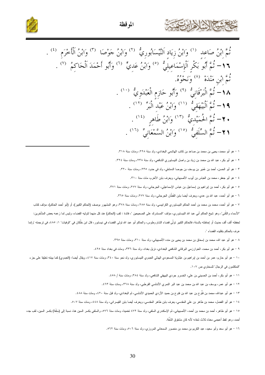![](_page_29_Picture_0.jpeg)

![](_page_29_Picture_1.jpeg)

١ – هو أبو محمد، يحيى بن محمد بن صاعد بن كاتب الهاشمي البغدادي، ولد سنة ٢٢٨، ومات سنة ٣١٨.

٢ – هو أبو بكر، عبد الله بن محمد بن زياد بن واصل النيسابوري الشافعي، ولد سنة ٢٣٨، ومات سنة ٣٢٤.

٣ – هو أبو الحسن، أحمد بن عُمَير بن يوسف بن جوصا الدمشقي، ولد في حدود ٢٣٥، ومات سنة ٣٢٠.

٤ – هو أبو جعفر، محمد بن العباس بن أيوب الأصبهاني، ويعرف بابن الأخرم، مات سنة ٣١٠.

٥ – هو أبو بكر، أحمد بن إبراهيم بن إسماعيل بن عباس الإسماعيلي، الجرجاني، ولد سنة ٢٧٧، ومات سنة ٣٧١.

٦ – هو أبو أحمد، عبد الله بن عدي، ويعرف أيضا بابن القَطَّان الجرجاني، ولد سنة ٢٧٧، ومات سنة ٣٦٥.

٧ – هو أبو أحمد، محمد بن محمد بن أحمد الحاكم النيسابوري الكرابيسي، ولد سنة ٢٧٨، ومثل المشهور بوصف (الحاكم الكبير)، أو (أبو أحمد الحاكم)، مؤلف كتاب "الأسماء والكُنى"، وهو شيخ الحاكم أبي عبد الله النيسابوري، مؤلف "المستدرك على الصحيحين "، فائدة : لقب (الحاكم) عند كل منهما لتوليه القضاء، وليس لما زعمه بعض المتأخرين: لحفظه ألف ألف حديث أو احاطته بالسنة، فالحاكم الكبير تولَّى قضاء الشام و الحاكم أبو عبد الله عنه الف ينسابور ، قال ابن خلَّكان في "الوفيات" ١: ٤٨٥، في ترجمته "وانما عرف بالحاكم بتقليده القضاء ".

٨ – هو أبو عبد الله، محمد بن إسحاق بن محمد بن يحيى بن منده الأصبهاني، ولد سنة ٣١٠، ومات سنة ٣٩٥.

٩ – هو أبو بكر، أحمد بن محمد، الخوارزمي البرقاني الشافعي البغدادي، نزيل بغداد، ولد سنة ٣٣٦، ومات في بغداد سنة ٤٢٥.

١٠ – هو أبو حازم، عمر بن أحمد بن إبراهيم بن عَبْدُويَهُ المسعودي الهذلي العبدوي النيسابوري، ولد نحو سنة ٢٤٠، ومات سنة ٤١٧، ويقال أيضا: (العبدوي) كما بينته تعليقا على جزء "المتكلمون في الرجال" للسخاوي ص ١٠٧.

١١ – هو أبو بكر، أحمد بن الحسيني بن علي، الخسرو جردي البيهقي الشافعي، ولد سنة ٢٨٤، ومات سنة / ٤٥٨.

١٢ – هو أبو عمر، بوسف بن عبد الله بن محمد بن عبد البر النمري الأندلسي القرطبي، ولد سنة ٣٦٨، ومات سنة ٤٦٣.

١٣ – هو أبو عبدالله، محمد بن فَتَرح بن عبد الله بن فتوح بن حميد الأزدي الحميدي الأندلسي، ثم البغدادي، ولد قبل سنة ٤٢٠، ومات سنة ٤٨٨.

١٤ – هو أبو الفضل، محمد بن طاهر بن علي المقدسي، يعرف بابن طاهر المقدسي، ويعرف أيضا بابن القيسراني، ولد سنة ٤٤٨، ومات سنة ٥٠٧.

١٥ – هو أبو طاهر، أحمد بن محمد بن أحمد، الأصبهاني، ثم الإسكندري السلفي، ولد شه تنت ٤٧٦ ، ون والسلفي بكسر السين هنا، نسبة إلى (سلَفَة) بكسر السين، لقب حده أحمد، وهو لفظ أعجمي معناه ثلاث شفاه؛ لأنه كان مشقوق الشُّفَة.

١٦ – هو أبو سعد وأبو سعيد، عبد الكريم بن محمد بن منصور السمعاني المروزي، ولد سنة ٥٠٦، ومات سنة ٥٦٢.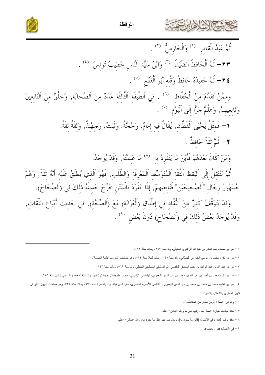![](_page_30_Picture_0.jpeg)

![](_page_30_Picture_1.jpeg)

![](_page_30_Picture_2.jpeg)

ثُمَّ عَبْدُ اَلْقَادِرِ (') وَالْحَازِمِيُّ (') . ٢٣- ثُمَّ اَلْحَافظُ اَلضِّيَاءُ ۚ (٣) وَابْنُ سَيِّد اَلنَّاس خَطيبُ تُونسَ ۚ (٤) . **٢٤** – ثُمَّ حَفيدُهُ حَافظُ وَقْتِه أَبُو اَلْفَتْحِ <sup>(٥)</sup> . وَمِمَّنْ تَقَلَّمَ مِنْ اَلْحُفَّاظِ  $\left(\begin{array}{cc} \cdot & \cdot & \cdot \end{array}\right)$  فِي اَلطَّبَقَةِ اَلثَّالِثَةِ عَدَدٌ مِنَ اَلصَّحَابَةِ, وَخَلْقٌ مِنَ اَلتَّابِعِينَ وَتَابعيهمْ, وَهَلُمَّ جَرًّا إِلَى اَلْيَوْمِ ۞ . ١- فَمِثْلُ يَحْيَى اَلْقَطَّانِ, يُقَالُ فِيهِ إِمَامٌ, وَحُجَّةٌ, وَتَبَتٌ, وَجهْبِذٌ, وَثَقَةٌ ثَقَةٌ.  $\bm{\gamma} = \hat{\bm{\zeta}}$ تُمَّ تَقَةٌ حَافظٌ . وَمَنْ كَانَ بَعْدَهُمْ فَأَيْنَ مَا يَنْفَرِدُ بِه  $\hspace{0.3cm}^{\prime\prime}$  مَا عَلِمْتُهُ, وَقَدْ يُوجَدُ. نْمَّ نَنْتَقِلُ إِلَى اَلْيَقِظِ اَلثَّقَةِ اَلْمُتَوَسِّطِ اَلْمَعْرِفَةِ وَالطَّلَبِ, فَهُوَ اَلَّذِي يُطْلَقُ عَلَيْهِ أَنَّهُ ثَقَةٌ, وَهُمْ جُمْهُورُ رِجَالِ "اَلصَّحِيحَيْنِ" فَتَابِعِيهِمْ, إِذَا اِنْفَرَدَ بِالْمَتْنِ خُرِّجَ حَدِيثُهُ ذَلِكَ فِي (اَلصِّحَاحَ). وَقَدْ يَتَوَقَّفُ كَثِيرٌ مِنْ اَلنُّقَّادِ فِي إِطْلَاقِ (اَلْغَرَابَةِ) مَعَ (اَلصِّحَّةِ), فِي حَدِيثِ أَتْبَاعِ اَلثِّقَاتِ, وَقَدْ يُوجَدُ بَعْضُ ذَلِكَ فِي (اَلصِّحَاحِ) دُونَ بَعْضٍ  $\left( \begin{array}{c} \text{\^{e}} \\ \text{\^{e}} \end{array} \right)$ 

- ٧ هكذا جاءت عبارة الأصل هنا، وفيها شيء، والله –تعالى– أعلم.
- ٨ هكذا وقت العبارة في الأصل: (فأبن ما ينفرد به)، ولعل صوابها: فقلَّ ما ينفرد به، والله –تعالى– أعلم.
	- ٩ في الأصل: (دون بعضه).

١ – هو أبو محمد، عبد القادر بن عبد الله الرهاوي الحنبلي، ولد سنة ٥٦٣، ومات سنة ٦١٢.

٢ – هو أبو بكر، محمد بن موسى الحازمي الهمذاني، ولد سنة ٥٤٨، ومات كهلا سنة ٥٨٤، وهو صاحب "شروط الأئمة الخمسة".

٣ – هو أبو عبد الله بن عبد الواحد بن أحمد السعدي المقدسي، ثم الدمشقي الصالحي الحنبلي، ولد سنة ٥٦٩، ومات سنة ٢٤٣.

٤ – هو أبو بكر، محمد بن أحمد بن عبد الله بن محمد بن سيد الناس اليعمري، الأنشيلي، الأشبيلي، خطيل من الخطبة ثم تونس، ولد سنة ٥٥٧، ومات في تونس سنة ٦٥٩.

٥ – هو أبو الفتح، محمد بن محمد بن سيد الناس اليعمري، الأندلسي الأصل، المصري، حفيد الذي قبله، ولد بالقاهرة سنة ١٣٤، ومات سنة ٧٣٤، وهو صاحب 'عيون الأثر في فنون المعازي والشمائل والسير".

٦ - وقع في الأصل: (ومن نعدي من الحفاظ...).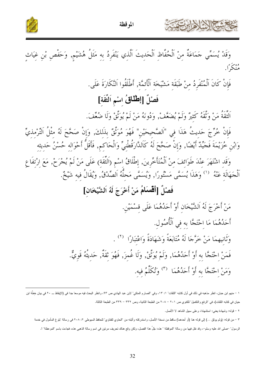![](_page_31_Picture_0.jpeg)

المو قظة

![](_page_31_Picture_2.jpeg)

وَقَدْ يُسَمِّي جَمَاعَةٌ مِنْ اَلْحُفَّاظِ اَلْحَدِيثَ اَلَّذِي يَنْفَرِدُ بِهِ مَثَلُ هُشَيْمٍ, وَحَفْصِ بْنِ غِيَاثِ وه ئے ً ا .<br>منگير ا .

فَإِنْ كَانَ اَلْمُنْفَرِدُ مِنْ طَبَقَةِ مَشْيَخَة اَلْأَثِمَّةِ, أَطْلَقُوا اَلنَّكَارَةَ عَلَى.

## فَصْلٌ [اِطْلَاقُ اسْمِ اَلثَّقَة]

اَلَّقْفَهُ مَنْ وَتَّقَهُ كَثِيرٌ وَلَمْ يُضَعَّفْ, وَدُونَهُ مَنْ لَمْ يُوَنَّقْ وَلَا ضُعِّفَ.

فَإِنْ خُرِّجَ حَديثُ هَذَا فِي "اَلصَّحِيحَيْن" فَهُوَ مُوَثَّقٌ بِذَلكَ, وَإِنْ صَحَّحَ لَهُ مِثْلُ التِّرْمذيّ وَابْنِ خُزَيْمَةَ فَجَيِّدٌ أَيْضًا, وَإِنْ صَحَّحَ لَهُ كَالدَّارَقُطْنِيٍّ وَالْحَاكِم, فَأَقَلُّ أَحْوَاله حُسْنُ حَديثه وَقَدِ اشْتَهَرَ عِنْدَ طَوَائفَ مِنْ اَلْمُتَأَخِّرِينَ, إطْلَاقُ اسْمِ (اَلثَّقَة) عَلَى مَنْ لَمْ يُجْرَحْ, مَعَ ارْتفَاع اَلْجَهَالَة عَنْهُ ۚ (') وَهَذَا يُسَمَّى مَسْتُورًا, وَيُسَمَّى مَحلَّهُ اَلصِّدْقُ, وَيُقَالُ فيه شَيْخٌ.

### فَصْلٌ [أَقْسَلَامُ مَنْ أَخْرَجَ لَهُ اَلشَّيْخَانِ]

مَنْ أَخْرَجَ لَهُ اَلشَّيْخَان أَوْ أَحَدُهُمَا عَلَى قسْمَيْن. أَحَدُهُمَا مَا احْتَجَّا به في اَلْأُصُول. وَثَانِيهِمَا مَنْ خَرَّجَا لَهُ مُتَابَعَةً وَشَهَادَةً وَاعْتَبَارًا  $^{(7)}$  . فَمَنْ احْتَجَّا به أَوْ أَحَدُهُمَا, وَلَمْ يُوَنَّقْ, وَلَا غُمزَ, فَهُوَ تْقَةٌ, حَديثُهُ قَوِيٌّ. وَمَنْ احْتَجَّا به أَوْ أَحَدُهُمَا  $^{(7)}$  وَتُكَلِّمُ فيه.

٢ – قوله: وشهادة يعني: استشهادًا، وعلى سبيل الشاهد لا الأصل.

٣ – من قوله: (ولم يوثق …) إلى قوله هنا (أو أحدهما) ساقط من نسخة الأصل، واستدركته وأثبته من "الحاوي للفتاوي" للحافظ السيوطى ٢٠٨٠٢ فى رسالة "بلوغ المأمول فى خدمة

الرسول" —صلى الله عليه وسلم–، وقد نقل فيها من رسالة "الموقظة " هذه: جُلَّ هذا الفصل، ولكن وقع هذاك تحريف مرتين في اسم رسالة الذهبي هذه، فجاءت باسم "الموعظة" !.

١ – منهم لبن حبان، انظر مذهبه في ذلك في أول كتابه "للثقات" ١: ١٣، وفي "لصارم المنكي" لابن عبد الهادي ص ٩٣، وانظر البحث فيه موسعا جدا في (الإيقاظ ـــ ٢٠ في بيان خطَّة ابن حيان في كتابه الثقات)، في "الرفع والنكميل" للكنوي ص ٢٠١ – ٢٠٨ من الطبعة الثانية، وص ٣٣٢ – ٣٣٩ من الطبعة الثالثة.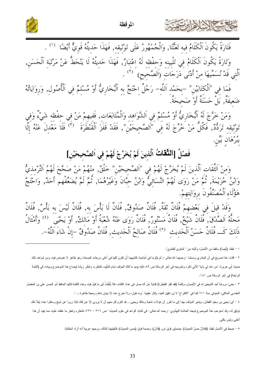![](_page_32_Picture_0.jpeg)

![](_page_32_Picture_2.jpeg)

فَتَارَةً يَكُونَ اَلْكَلَامُ فيه تَعَنَّتَا, وَالْجُمْهُورُ عَلَى تَوْثيقه, فَهَذَا حَديثُهُ قَوِيٌّ أَيْضًا  $\,$  . وَتَارَةً يَكُونَ اَلْكَلَامُ فِي تَلْيِينِهِ وَحِفْظِهِ لَهُ اعْتِبَارٌ, فَهَذَا حَدِيثُهُ لَا يَنْحَطُّ عَنْ مَرْتَبَةِ اَلْحَسَنِ, اَلَّتِي قَدْ نُسَمِّيهَا مِنْ أَدْنَى دَرَجَاتِ (اَلصَّحِيحِ) <sup>` (٢)</sup> .

.<br>فَمَا فِي "اَلْكِتَابَيْنِ" –بِحَمْدِ اَللَّهِ– رَجُلٌ اِحْتَجَّ بِهِ اَلْبُخَارِيُّ أَوْ مُسْلِمٌ فِي اَلْأُصُولِ, وَرِوَايَاتُهُ ضَعيفَةٌ, بَلْ حَسَنَةٌ أَوْ صَحَيحَةٌ.

وَمَنْ خَرَّجَ لَهُ اَلْبُخَارِيُّ أَوْ مُسْلَمٌ في اَلشَّوَاهد وَالْمُتَابَعَات, فَفيهمْ مَنْ في حفْظه شَيْءُ وَفي<br>تَوْثِيقِهِ تَرَدُّدٌ, فَكُلُّ مَنْ خُرِّجَ لَهُ فِي "اَلصَّحِيحَيْنِ", فَقَدْ قَفَزَ الْقَنْطَرَةَ <sup>(٣)</sup> بْبُرْهَانِ بَيْنِ.<br>پُ

# فَصْلٌ [اَلْتَّقَاتُ اَلَّذِينَ لَمْ يُخَرَّجْ لَهُمْ فِي اَلصَّحِيحَيْنِ]

وَمنْ اَلثِّقَات اَلَّذينَ لَمْ يُخَرَّجْ لَهُمْ فِي "اَلصَّحِيحَيْنِ" خَلْقٌ, منْهُمْ مَنْ صَحَّحَ لَهُمُ اَلتِّرْمذيُّ<br>وَابْنُ خُزَيْمَةَ, ثُمَّ مَنْ رَوَى لَهُمْ النَّسَائِيُّ وَابْنُ حَبَّانَ وَغَيْرُهُمَا, ثُمَّ لَمَ هَؤُلَاءِ اَلْمُصَنَّفُونَ بِروَايَتِهِمْ.

وَقَدْ قِيلَ في بَعْضهِمْ فُلَانٌ ثَقَةٌ, فُلَانٌ صَدُوقٌ, فُلَانٌ لَا بَأْسَ به, فُلَانٌ لَيْسَ به بَأْسٌ, فُلَانٌ<br>مَحَلَّهُ اَلصَّدْقَ, فُلَانٌ شَيْخٌ, فُلَانٌ مَسْتُورٌ, فُلَانٌ رَوَى عَنْهُ شُعْبَةُ أَوْ مَالكٌ, أَوْ

١ – لفظ: (أيضا) ساقط من الأصل، وأثبته من " الحاوي للفتاوي".

٢ – قلت: هذا صريح في أن البخاري ومسلما –رحمهما الله تعالى–، لم يلنزما في أحاديث كان كل في أعلى درجات الصحة، وهو ظاهر لا غموض فيه، ومن شواهد ذلك حديث أبي هريرة: "من عاد لي وليا" الآتي ذكره وتخريجه في آخر الرسالة ص ٨٩، فإنه يؤيد ما قاله القلولة الفظره، وانظر زيادة إيضاح هذا الموضوع وبيانه، في (التتمة الرابعة) في أخر الرسالة ص ١٤١.

٣ – يعني: برواية أحد الشيخين له في الأصول، وكلمة (فقد قفز القنطرة) كناية عن أنه صار في عند النجائز أي ما قل فيه، وهذه الكلمة قالها الحافظ أبو الحسن علي بن المفضل المقدسي المالكي، المتوفى سنة ٦١١ كما في "الاقتراح" لا بن دقيق العيد، وقال عقِبَها: "وبه نقول، ولا نخر ج عنه إلا ببيان شافٍ وحجة ظاهرة… ".

٤ – أي: يحيى بن سعيد القطان، ويشير المؤلف بهذا إلى ما تقرر أن هؤلاء: شعبة ومالكا ويحيى… قد النتزم كل منهم أن لا يروي إلا عن ثقة، فإذا رووا عن شيخ وسكتوا عنه، يُعَدُّ ذلك توثيق له، وقد استوعب هذا الموضوع شيخنا العلامة التهانوي –رحمه الله تعالى– في كذابه "قواعد في علوم الحديث " ص ٢١٦ – ٢٢٧، فانظره وانظر ما علقته عليه، مما يفيد أن هذا أغلبي وليس بكلبي.

٥ – ضبط في الأصل لفظ: (كفلانٌ حسنُ الحديث). بضمتين فوق نون (فلان)، وضمة فوق (حسن الحديث)، فأبقيتهما كذلك، ووجهه عربية أنه أراد الحكاية.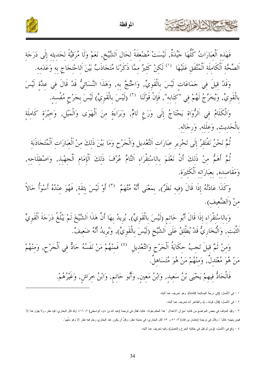![](_page_33_Picture_0.jpeg)

 $\overline{a}$ 

الموقظة

فَهَذِهِ الْعِبَارَاتُ كُلُّهَا جَيِّدَة, لَيْسَتْ مُضْعِفَة لِحَالِ الشَّيْخ, نَعَمْ وَلَا مُرَقِيَّة لِحَديثِهِ إِلَى دَرَجَةِ اَلصِّحَّة اَلْكَامِلَة اَلْمُتَّفَقِ عَلَيْهَا ۚ '' لَكِنْ كَثِيرٌ مِمَّا ذَكَرْنَا مُتَجَاذَبٌ بَيْنَ اَلِاحْتجَاج بِه وَعَدَمه.

وَقَدْ قِيلٍ فِي جَمَاعَاتٍ لَيْسَ بِالْقَوِيِّ, وَاحْتُجَّ بِهِ, وَهَذَا النَّسَائِيُّ قَدْ قَالٍ فِي عِدَّةِ لَيْسَ بِالْقَوِيِّ, وَيُخَرَّجُ لَهُمْ فِي "كِتَابِه", فَإِنْ قَوْلَنَا  $\,^{\prime\prime}$  (لَيْسَ بِالْقَوِيِّ) لَيْسَ بِجَرْحٍ مُفْسد.

وَالكلامُ فِي الرُّوَاةِ يَحْتَاجُ إِلَى وَرَعِ تَامٍّ, وَبَرَاءَةٍ مِنَ الْهَوَى وَالْمَيْلِ, وَخِبْرَةِ كامِلةِ بالحَديث, وَعِلله, وَرِجَالِه.

ثُمَّ نَحْنُ نَفْتَقَرُ إلى تَحْرِيرِ عَبَارَاتِ التَّعْدِيلِ وَالْحَرْحِ وَمَا بَيْنَ ذَلِكَ مِنْ الْعَبَارَاتِ الْمُتَحَاذَبَة ثمَّ أهَمَّ منْ ذلكَ أن نَعْلَمَ بالاسْتقرَاءِ التَّامِّ عُرْفَ ذلكَ الإِمَامِ الحهْبذِ, وَاصْطلاحِهِ, وَمَقاصِدِه, بِعَبَارَاتِه الكثيرَة.

وَكَذَا عَادَتُهُ إِذَا قَالَ (فِيه نَظَرٌ), بِمَعْنَى أَنَّهُ مُتَّهَمٌ ۚ (٣) أَوْ لَيْسَ بِثقَة, فَهُوَ عِنْدُهُ أَسْوَأُ حَالاً منْ (الضَّعيف).

وَبالـاسْتقرَاءِ إذا قال أَبُو حَاتم (لَيْسَ بِالقوِيِّ), يُرِيدُ بهَا أن هَذا الشَّيْخَ لـمْ يَبْلغ دَرَجَة القوِيِّ لتُبَت, وَالبُخَارِيُّ قدْ يُطلِقُ عَلى الشَّيْخِ (لَيْسَ بِالقَوِيِّ), وَيُرِيدُ أَنَّهُ ضَعِيفٌ.  $\overline{\phantom{a}}$ 

وَمِنْ ثَمَّ قِيلَ تَجِبُ حِكَايَةُ اَلْجَرْحِ وَالتَّعْدِيلِ  $\,^{(3)}$  فَمنْهُمْ مَنْ نَفَسُهُ حَادٌّ فِي اَلْجَرْحِ, وَمنْهُمْ مَنْ هُوَ مُعْتَدِل, وَمِنْهُمْ مَنْ هُوَ مُتَسَاهِلٍ.

فالحَادُّ فيهمْ يَحْيَى بْنُ سَعِيد, وَابْنُ مَعِين, وَأَبُو حَاتِم, وَابْنُ خِرَاشٍ, وَغَيْرُهُمْ.

١ – في الأصل: (إلى درجة الصالحة الكاملة). وهو تحريف عما أثبته.

٢ = في الاصل: (قال: قولنا...)، والظاهر أنه تحريف عما أثبته.

كالحشيخ الإشارة ابزت

٣ – وقيّد المؤلف في بعض المواضع من كتابه "ميزان الاعتدال " هذا الحكم بقوله: غالبا، فقال في ترجمة رام ين المعاهر عن المعاري: فيه نظر، ولا يقول هذا إلا فيمن بتهمه غالبا "، وقال في ترجمة (عثمان بن فائد) ٣: ٥١ و ٥٢ "قال البخاري: في حديثه نظر، وقل ان يكون عند البخاري رجل فيه نظر إلا وهو متهم".

٤ – وقع في الأصل: (ومن ثم قَيْل في حكاية الجرح والنعديل)، وفيه نحريف عما أثبته.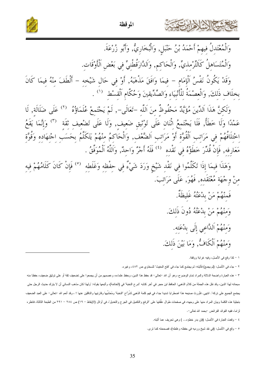![](_page_34_Picture_0.jpeg)

![](_page_34_Picture_2.jpeg)

وَالْمُعْتَدِلُ فِيهِمْ أَحْمَدُ بْنُ حَنْبَلٍ, وَالْبُخَارِيُّ, وَأَبُو زُرْعَةَ. وَالْمُتَسَاهِلُ كَالتِّرْمذيِّ, وَالْحَاكم, وَاَلدَّارَقُطْنيٍّ في بَعْض اَلْأَوْقَات.

وَقَدْ يَكُونُ نَفْسُ ٱلْإِمَامِ – فِيمَا وَافَقَ مَذْهَبَهُ, أَوْ في حَال شَيْخه – أَلْطَفَ منْهُ فيمَا كَانَ بخلَاف ذَلكَ, وَالْعصْمَةُ لِلْأَنْبِيَاءِ وَالصِّدِّيقِينَ وَحُكَّامِ اَلْقِسْطِ ( ') .

وَلَكنَّ هَذَا اَلدِّينَ مُؤَيَّلٌ مَحْفُوظٌ منَ اَللَّه –تَعَالَى–, لَمْ يَجْتَمِعْ عُلَمَاؤُهُ  $^{(7)}$  عَلَى ضَلَالَةٍ, لَا عَمْدًا وَلَا خَطَأً, فَلَا يَجْتَمِعُ اثْنَانِ عَلَى تَوْثِيقِ ضَعِيفٍ, وَلَا عَلَى تَضْعِيفٍ ثَقَةٍ ۚ (٣) وَإِنَّمَا يَقَعُ اِخْتِلَافُهُمْ فِي مَرَاتِبِ اَلْقُوَّةِ أَوْ مَرَاتِبِ اَلضَّعْفِ, وَالْحَاكِمُ مِنْهُمْ يَتَكَلَّمُ بِحَسَبِ اِجْتِهَادِهِ وَقُوَّةِ مَعَارِفه, فَإِنْ قُدِّرَ خَطَؤُهُ في نَقْده  $\,^{(2)}$  فَلَهُ أَجْرٌ وَاحِدٌ, وَاَللَّهُ اَلْمُوَفَّقُ .

وَهَذَا فِيمَا إِذَا تَكَلَّمُوا فِي نَقْدِ شَيْخٍ وَرَدَ شَيْءٌ فِي حِفْظِهِ وَغَلَطِهِ <sup>(٥)</sup> فَإِنْ كَانَ كَلَامُهُمْ فِيهِ مِنْ وِجْهَةٍ مُعْتَقَده, فَهُوَ, عَلَى مَرَاتبَ. فَمنْهُمْ مَنْ بِدْعَتُهُ غَلِيظَةٌ. وَمِنْهُمْ مَنْ بِدْعَتُهُ دُونَ ذَلِكَ. وَمِنْهُمْ اَللَّاعي إِلَى بِدْعَته. وَمنْهُمْ اَلْكَافُّ, وَمَا بَيْنَ ذَلكَ.

١ – كذا وقع في الأصل، وفيه غرابة ووقفة.

٢ – جاء في الأصل: (لم يجمع) فأثبته: لم يجتمع كما جاء في "فتح المغيث" للسخاوي ص ٤٨٢، وغيره.

٣ – هذه العبارة واضحة الدلالة والمراد تمام الوضوح، وهو أن الله –تعالى– قد حفظ علماءه، وعصمهم من أن يجمعوا على تضعيف ثقة أو على توثيق ضعيف، حفظا منه سبحانه لهذا الدين، وقد نقل هذه الجملة من كلام الذهبي: الحافظ ابن حجر في أخر كتابه "شرح النخاصة)، وأتبعها بقوله: "ولهذا كان مذهب النسائي أن لا يترك حديث الرجل حتى يجتمع الجميع على تركه". انتهى. فأورث صنيعه هذا اضطرابا شديدا جدا، في فهم كلمة الذهبي لشُرَّاح "النخبة" ومُحَشِّيها وقارئيها والناقلين عنها ! ، وقد أنعم الله –تعالى– على العبد الضعيف بتجلية هذه الكلمة وبيان المراد منها على وجهه، في صفحات طوال علَّقتها على "الرفع والتكميل في الوقت الإيقاظ (الإيقاظ – ١٩) ص ٢٨٤ – ٢٩١ من الطبعة الثالثة، فانظره لزاما، ففيه الفوائد الفرائض -بحمد الله نعالى-.

٤ - وقعت العبارة في الأصل: (فإن بدر خطؤه... ) وهي تحريف عما أثبته.

٥ - وقع في الأصل: (في نقد شيخ ورديه في حفظه وغلطه)، فصححته كما ترى.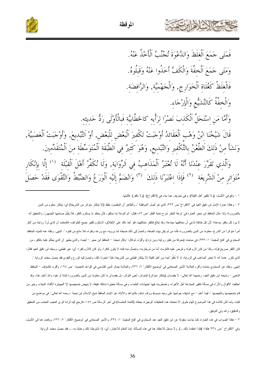![](_page_35_Picture_0.jpeg)

![](_page_35_Picture_1.jpeg)

الموقظة

١ – وقع في الأصل: (و لا تكفير أهل القبلة)، و هي تحريف عما جاء في (الاقتراح): (و لا نكفر). فاثبتها.

٢ – وهكذا عبارة الإمام لبن دقيق العيد في "الاقتراح" ص ٣٣٣، الذي هو اصل "الموقظة "، والظاهر ان المقصود بلفظ (إلا بإنكار متارة مال الله وبعة) اي: بإنكار معلوم من الدين بالضرورة؛ ولذا عثل الحافظ ابن حجر العبارة في "نزهة النظر شرح نخبة الفكر" من التمام باسكور كان يعتقد ما يستلزم الكفر، فلا يَقَلِّ صاحبَها الجمهور،، والتحقيق انه لا يرد كل مكفر ببدعته؛ لأن كل طائفة تدَّعي أن مخالفيها مبتدعة، وقد تبالغ فتكفيا الفراغ المثل المنظر متكفير جميع الطوائف، فالمعتمد أن الذي تردُّ روايته من أنكر أمرا متواترا من الشرع، معلوما من الدين بالضرورة، فأما من لم يكن بهذه الصفة، وانضمَّ إلى ذلك ضليله، مع ورعه وتقواه، فلا مانع من قبلوه ". انتهى. ونقله عنه نلميذه الحافظ السخاوي في "فتح المغيث" ١: ٣٣٣، في مباحث (معرفة من تقبل روايته ومن ترد)، وأقرَّه، ثم قال: "وقال شيخنا – الحافظ لبن حجر – أيضنا: والذي يظهر أن الذي يُحكمُ عليه بالكفر، من كان الكفر صريح قوله، وكذا من كان لازم قوله وعُرضَ عليه فالتزمه، أما من لم يلتزمه، ونتصلُّ منه ليه لا يكون اللازم الى اللازم كفرا، أي: غير قطعي، وسبقه ابن دقيق العيد فقال: الذي تكرر عندنا أنه لا تعتبر المذاهب في الرواية، إذ لا نكفرُ أحدا من أهل القليل المعلمي من الشريعة، فإذا اعتبرنا ذلك، وانضمَّ إليه الورع والتقوى فقد حصل معتمد الرواية ". انتهى. ونقله عن السخاوي بتمامه وأقره العلامة الأمير الصنعاني في "توضيح الأفكار" ٢: ٢٣٦، والعلالية القاسي في "قواعد التحديث " ص ١٩٤، وأقره، فالمؤلف – الحافظ الذهبي – وشيخه لبن دقيق العيد، رحمهما الله تعالى– لا يقصدان (بانكار متواتر) المتواتر، الى يقصدان ما كان معلوما من الدين بالضرورة إثباتا أو نفيا، والله أعلم، هذا، وقد اختلفت الأقوال والأراء في مسألة تكفير المبتدعة أهل الأهواء، واضطربت فيها جتهادات العلماء، وهي مسائة خلقة، لا ينهض بتمحيصها إلا الجهابزة الأفذاذ النبغاء، وخير من نام بتمحيصها وتلخيصها – فيما أعلم – مع استيفاء جوانبها على وجه مبسوط ووف الشادة المعالم المواهد المعالم الله التاريخ التي تاسم المعالمي – في مواضع من كتبه، ولما كان كلامه في هذا الموضوع الهام طويل الا تحتمله هذه التطقاق الوجيزة، جعلته (النتمة) في اخر اللازم الرجع الغل الله لزاما لترى العجب العجاب من التحقيق والندقيق، والله ولـي الـتوفيق.

٣ – هكذا الصواب في هذه العبارة، كما جاءت منقولة عن ابن دقيق العبد عند السنواء والمير الصنعاني في "توضيح الافكار" ٢: ٢٣٦، ووقعت هنا في الاصل، وفي "الاقتراح " ص ٣٣٤ هكذا: (فإذا اعتقدنا ذلك…). ولا مدخل للاعتقاد هنا في هذه المسالة، إنما المقاربا وي: إذا اشترطنا ذلك وعُملنا به…، فقد حصل معتمد الرواية.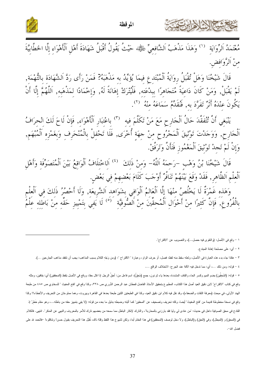![](_page_36_Picture_0.jpeg)

![](_page_36_Picture_2.jpeg)

ِّنْ كُرْرِ عِ<br>قَالَ شَيْخُنَا وَهَلْ تُقْبَلُ رِوَايَةُ اَلْمُبْتَدِعِ فِيمَا يُؤَيِّدُ بِهِ مَذْهَبَهُ? فَمَنْ رَأَى رَدَّ اَلشَّهَادَة بِالتُّهْمَةِ,<br>لَمْ يَقْبَلْ, وَمَنْ كَانَ دَاعِيَةً مُتَجَاهِرًا بِبِدْعَتِهِ, فَل يَكُونَ عِنْدَهُ أَثَرٌ تَفَرَّدَ بِهِ, فَنُقَدِّمُ سَمَاعَهُ منه (٢).

يَنْبَغِي أَنَّ تُتُفَقَّدَ حَالُ اَلْحَارِحِ مَعَ مَنْ تَكَلَّمَ فيه <sup>(٣)</sup> باعْتبَارِ اَلْأَهْوَاءِ, فَإِنْ لَاحَ لَكَ انْحرَافُ<br>اَلْحَارِحِ, وَوَجَدْتَ تَوْثِيقَ اَلْمَجْرُوحِ مِنْ جِهَةٍ أُخْرَى, فَلَا تَحْفِلْ بِالْمُ وَإِنْ لَمْ تَجِدْ تَوْثِيقَ اَلْمَغْمُوزِ فَتَأَنَّ وَتَرَفَّقْ.

قَالَ شَيْخُنَا بْنُ وَهْبٍ –رَحِمَهُ اَللَّهُ– وَمِنْ ذَلِكَ  $^{(3)}$  اَلِاخْتِلَافُ اَلْوَاقِعُ بَيْنَ اَلْمُتَصَوِّفَةِ وَأَهْلِ ٱلْعِلْمِ اَلظَّاهِرِ, فَقَدْ وَقَعَ بَيْنَهُمْ تَنَافُرٌ أَوْجَبَ كَلَامَ بَعْضِهِمْ فِي بَعْضٍ.

وَهَذه غَمْرَةٌ لَا يَخْلُصُ منْهَا إِلَّا اَلْعَالِمُ اَلْوَافِي بِشَوَاهِدِ اَلشَّرِيعَةِ, وَلَا أَحْصُرُ ذَلكَ فِي اَلْعِلْمِ<br>بِالْفُرُوعِ, فَإِنَّ كَثِيرًا مِنْ أَحْوَالِ اَلْمُحِقِّينَ مِنْ اَلصُّوفِيَّةِ <sup>`(6</sup>) لَا

١ – وقع في الأصل: (والنقوى فيه حصل...)، والتصويب عن "الاقتراح".

فيتعاللنا لأابر

٢ – أي: على مصلحة إهانة المبتدع.

٣ – هكذا جاء بدء هذه العبارة في الأصل، ولعله سقط منه لفظ: فصل، أو حرف الواو، وعبارة " الاقتراح ": (ومن وَجْهِ الكلام بسبب المذاهب: يجب أن تثفقد مذاهب الجارحين …).

٤ – قوله: ومن ذلك …، أي: مما ندخل فيه الآفة عند الجرح: الاختلاف الواقع ….

٥ – قوله: (المُحِقِّين) بضم العيم وكسر الحاء والقاف المشددة، بعدها بذون، جمع (مُحقٍّ)، اسم فاعل من: أحقُّ الرجل إذا قال حقا، ووقع في الأصل بلفظ (المحققين) أي: بقافين، ومثله وقع في كتاب "الاقتراح" لابن دقيق العيد أصل هذا الكتاب، المطبوع بتحقيق الأستاذ الفاضل قحطان عبد الرحمن الدُوري ص ٣٣٨، وكذا وقع في "فتح المغيث " للسخاوي ص ٤٨٥ من طبعة الهند الأولى، في مبحث (معرفة الثقات والضعفاء)، وقد نقل فيه كلام ابن دقيق الغلي الغين من الغرام علي القاهر وبيرورت، وهما مملوءتان من التحريف والأخطاء!! وكذا وقع في نسخة مخطوطة قديمة من "فتح المغيث" أيضا، وكله تحريف وتصحيف عن "المحقين" كما أثبته وضبطه بدليل ما بعده من فوله: (لا يفي بتمييز حقه من باطله…، وهو مقام خَطِرٌ إذ القادح في محق الصوفية داخل في حديث: "من عادي لي وليا فقد بارزني بالمحاربة"، والتارك لإنكار الباطل مما سمعه من بعضهم تارك للأمر بالمعروف والنهي عن المنكر". انتهى. فالكلام في (المحق) و (المبطل)، وفي (الحق) و(الباطل)، ولا دخل لوصف (المحققين) في هذا المقام أبدا، ولكن اشتراق الثقال هذا التحريف بقبول حسن! وتناقلوه! خالحمد لله على فضل الله−.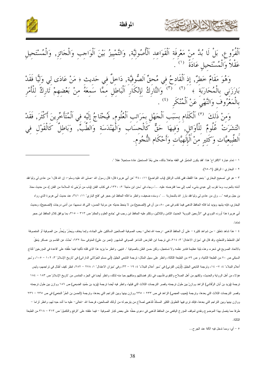![](_page_37_Picture_0.jpeg)

الموقظة

![](_page_37_Picture_2.jpeg)

وَهُوَ مَقَامٌ خَطِرٌ, إِذِ اَلْقَادِحُ فِي مُحقٌّ اَلصُّوفيَّة, دَاخِلٌ فِي حَديثٍ ﴿ مَنْ عَادَى لِي وَليًّا فَقَدْ<br>بَارَزَنِي بِالْمُحَارَبَةَ ﴾ َ ´٬ ٌ ) وَالتَّارَكُ لِإِنْكَارِ اَلْبَاطِلِ مَمَّا سَمَعَهُ مِنْ بَعْضِه بِالْمَعْرُوفُ وَالنَّهْيُ عَنْ اَلْمُنْكَرِ  $\left( \begin{array}{c} 1 \end{array} \right)$ 

َ وَمنْ ذَلكَ <sup>(٥)</sup> اَلْكَلَامِ بِسَبَبِ اَلْجَهْلِ بِمَرَاتبِ اَلْعُلُومِ, فَيُحْتَاجُ إِلَيْهِ فِي اَلْمُتَأَخِّرِينَ أَكْثَرَ, فَقَدْ<br>انْتَشَرَتْ عُلُومٌ لِلْأَوَائِلِ, وَفِيهَا حَقٌّ كَالْحِسَابِ وَالْهَنْدَسَةِ وَالط اَلطّبِيعِيَّاتِ وَكَثِيرٍ مِنْ اَلْإِلَهِيَّاتِ وَأَحْكَامِ النُّجُوَمِ.

١ – تمام عبارة "الاقتراح" هنا: "فقد يكون المتميِّز في الفقه جاهلا بذلك، حتى يَعْدَّ المستحيل عادة مستحيلا عقلا ".

٢ – البخار ي : الرقاق (٢٥٠٢).

٣ – هو في "صحيح البخاري " بنحو هذا اللفظ، ففي كتاب الرقاق (باب التواضع) ٢٤٠ : ١١ " عن أبي هريرة قال: قال رسول الله –صلى الله عليه وسلم-: إن الله قال:" من عادى لي وليا فقد .<br>آذنته بالحرب، وما نقرب إلي عبدي بشيء أحب إلي مما افترضته عليه. …"، وجاء في "سنن ابن ماجة" ٢: ١٣٢٠، في كتاب الفتن (باب من تُرْجَى له السلامة من الفتن )، من حديث معاذ بن جبل برفعه "… وإن من عادي لي وليا فقد بارز الله بالمحاربة … "، وسنده ضعيف، وانظر ما قاله الحافظ ابن حجر في "فتح الباري" ١١: ٣٤١، عند حديث أبي هريرة الذي رواه البخاري، فإنه يشهد ويؤيد لما قاله الحافظ الذهبي فيما تقدم في ص ٨٠، من أن في (الصحيح) من لا ينحط حديثه عن مدتبة الحسن، التي قد نسميها: من أدنى درجات (الصحيح)، وحديث .<br>أبي هريرة هذا أورده النووي في "الأربعين النووية" الحديث الثامن والثلاثين، ونكلم عليه العزم العلم العلوم والحكم" ص ٣١٣ – ٣١٥، بما يوافق كلام الحافظ ابن حجر نماما.

٤ – هذا شاهد ناطق – من شواهد كثيرة – على أن الحافظ الذهبي –رحمه الله تعالى– يحب الصوفية الصالحين على الحدادة، وإنما يخاف ويَحذَرُ ويُحذَر من الصوفية أو المتصوفة أهل الشطط والشطح، وقد قال في "ميزان الاعتدال" ٣: ٢١٤، في ترجمة ابن الفارض الشاعر الصوفي المشهور (عمر بن علي) المتوفى سنة ٦٣٢: "حدَّث عن القاسم بن عساكر يَنعَقُ بالاتحاد الصريح في شعره، وهذه بلية عظيمة فتدبر نظمه ولا تستعجل، ولكن حسن الظن بالصوفية ". انتهى. وانظر ما بزيد هذا الذي قلته تأكيدا فيما علَّقته على "قاعدة في المؤرخين" للتاج السبكي ص ٧٠ من الطبعة الثانية، و ص ٥٩ من الطبعة الثالثة، وانظر على سبيل المثال: ترجمة التابعي الجليل (أبي مسلم الخَوْلاني الداراني) في "تاريخ الإسلام" ٣: ١٠٧ – ١٠٥، و"سير أعلام النبلاء" ٤: ٧- ١٤، وترجمة التابعي الجليل (أُويَس القرني) في "سير أعلام النبلاء" ٤: ٢٩، وفي "ميزان الاعتدال" ١: ٢٧٨ – ٢٨٢، انظر كيف أطال في تراجمهم، وليس هؤلاء من أهل الرواية والحديث، ولكنهم من أهل الصلاح والنقوى فأسهب في ذكر فضائلهم ومناقبهم حبا منه لذلك، وانظر أيضا في الجزء الخامس من "تاريخ الإسلام" ص ١٨٣ – ١٨٤ ترجمة (يزيد بن أبان الرَّقَاشي) الزاهد ووازِن بين طول ترجمته وقصر الترجمات الثلاث التي قبلها، وانظر فيه أيضا ترجمة (يزيد بن حُمَدٍ الضبعي) ص ١٨٦ ووازن بين طول ترجمته وقصر الترجمات الثلاث التي بعدها، وترجمة (حبيب العجمي) الزاهد في ص ٢٣٣ – ٢٣٥ ووازن بينها وبين التراجم التي بعدها، وترجمة (الحسن بن الحُرِّ النخعي) في ص ٢٣٥ – ٢٣٦ ووازن بينها وبين التراجم التي بعدها، فإنك ترى فيها التطويل الكثير المستلذُّ للذهبي لصلاح من أولئك الصالحين، فرحمة الله –تعالى– عليه ما أشد حبه لهم، وانظر لزاما – طرفا مما يتصل بهذا الموضوع ونقدي لموقف المؤرخ اليافعي من الحافظ الذهبي في دعوى حطّه على الصوفية و فيما علقته على "الرفع والتكميل" ص ٣١٣ – ٣١٨ من الطبعة الثالثة.

٥ – أي: ومما ندخل فيه الأفة عند الجر ح...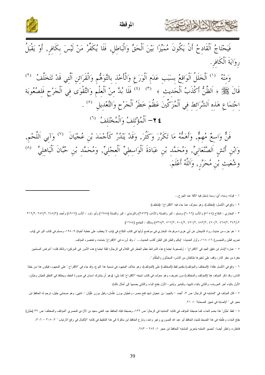![](_page_38_Picture_0.jpeg)

![](_page_38_Picture_2.jpeg)

.<br>فَيَحْتَاجُ اَلْقَادِحُ أَنْ يَكُونَ مُمَيِّزًا بَيْنَ اَلْحَقِّ وَالْبَاطِلِ, فَلَا يُكَفِّرُ مَنْ لَيْسَ بِكَافِرٍ, أَوْ يَقْبَلُ رِوَايَةَ اَلْكَافِرِ.

وَمِنْهُ <sup>(١)</sup> اَلْخَلَلُ اَلْوَاقِعُ بِسَبَبِ عَدَمِ اَلْوَرَعِ وَالْأَخْذِ بِالتَّوَهُّمِ وَالْقَرَائِنِ اَلَّتِي قَدْ تَتَخَلَّفُ <sup>(٢)</sup><br>قَالَ ﷺ ﴿ اَلظَّنُّ أَكْذَبُ اَلْحَدِيثِ ﴾ <sup>(٣)</sup> <sup>(٤)</sup> فَلَا بُدَّ مِنْ اَلْعِلْمِ اجْتِمَاعِ هَذِهِ اَلشَّرَائِطِ فِي اَلْمُزَكِّينَ عَظُمَ خَطَرُ اَلْجَرْحِ وَالتَّعْدِيلِ <sup>``</sup> . ٤٢- اَلْمُؤْتَلفُ وَالْمُخْتَلفُ (7)

فَنّْ وَاسِعٌ مُهِمٌّ, وَأَهَمُّهُ مَا تَكَرَّرَ وَكَثُرَ, وَقَدْ يَنْدُرُ كَأَجْمَدَ بْنِ عُجْيَانَ <sup>(٧)</sup> وَآبِي اَللَّحْمِ, وَابْنِ أَتَشِ اَلصَّنْعَانِيٍّ, وَمُحَمَّد بْنِ عَبَادَةَ اَلْوَاسِطِيٍّ اَلْعِجْلِيٍّ, وَمُحَمَّد بْنِ حُبَّانَ اَلْبَاهِلِيٍّ ۖ <sup>(٨)</sup><br>وَابْنِ أَتَشِ الصَّنْعَانِيِّ, وَمُحَمَّد بْنِ عَبَادَةَ اَلْوَاسِطِيٍّ الْعِجْلِيُ وشُعَيثٍ بْنِ مُحَرَّرٍ, وَاَللَّهُ أَعْلَمَ.

١ – قوله: ومنه، أي: ومما ندخل فيه الأفة عند الجرح...

٢ – وقع في الأصل: (نختلف)، وهو محرَّف عما جاء فيه "الاقتراح": (نتخلف).

٣ – البخاري : النكاح (٥١٤٤) والأدب (٦٠٦٦) ومسلم : البر والصلة والآداب (٢٥٦٣) والترمذي : البر والصلة (١٩٨٨) وأبو دلود : الأدب (٤٩١٧) وأحمد (٤٩١٧), ٢٨٧/٢, ٢٨٧/٢, ٢ تفاع (٢٠٢٢) ٥٣٨/٢, ٥١٧/٢, ٤٩١/٢, ٤٩١/٢, ٤٧٠/٢, ٤٧٠/٢, ٤٦٨/٢) ومالك : الجامع (١٦٨٤).

٤ – هو جزء من حديث رواه الشيخان عن أبي هريرة مرفوعا، البخاري في مواضع أولها في كتاب النكاح في (باب لا يخطب على خطبة أخيه) ٩: ١٩٨، ومسلم في كتاب البر في (باب تحريم الظن والتجسس) ١٦: ١١٨، وأول الحديث: "إياكم والظن فإن الظن أكذب الحديث... "، وقد أورده في "الاقتراح" بتمامه، واختصره المؤلف.

ه – عبارة الإمام ابن دقيق العيد في "الاقتراح" : "ولصعوبة لجتماع هذه الشرائط عظم الخطر في الرجل الغلقة لجتماع هذه الأمور في المزكين؛ ولذلك قلت: أعراض المسلمين حفرة من حفر النار، وقف على شفيرها طائفتان من الناس: المحدِّثون والحُكَّام ".

٦ – وقع في الأصل هكذا: (المختلف والمؤتلف) بتقديم لفظ (المختلف) على (المؤتلف)، وهو خلاف المعهود في تسمية هذا النوع، وقد جاء في "الاقتراح " على المعهود، فيكون هذا من خطا الناس، وقد ذكر المؤلف هنا (المؤتلف والمختلف) دون تعريف، وهو معرَّف في كتاب شيخه "الاقتراح" كما يلي: (وهو أن يشترك اسمان في صورة الخط، ويختلفا في النطق كَحيَّان وحَبَّان، الأول بالياء أخر الحروف، والثاني بالباء ثانيها، وكَبثىير وبُشَير، الأول بفتح الباء، والثاني بضمها إلى أمثال ذلك).

٧ – قال المؤلف في "المشتبه في الرجال" ص ٣: "أجمد – بالجيم– بن عجيلن شهد فتح مصر ، وعُجْبَان بوزن عُثُوان بوزن عُلَيَان ". انتهى. وهو صحابي جليل، ترجم له الحافظ ابن حجر في " الإصابة في تمييز الصحابة" ١: ٢١.

٨ – لفظ "حُبَّان" هذا بضم الحاء، كما ضبطه المؤلف في كتابه "المشتبه في الرجال" ص ١٣٢، وضبطه قبله الحافظ عبد الغني سعيد بن الأزدي المصري "المؤتلف والمختلف" ص ٣٢ (حَبَّان) بفتح الحاء، وغلَّطه في هذا الضبط تلميذه الحافظ أبو عبد الله الصوري وغير واحد، ونازع الحافظ البن ماكولا في كثابة "الإكلال في رفع الارتياب " ٢٠٥ ٠٢ – ٣٠٢، فانظره، وانظر أيضا: "تبصير المنتبه بتحرير المشتبه" للحافظ ابن حجر ١: ٢٨٢ – ٢٨٣.